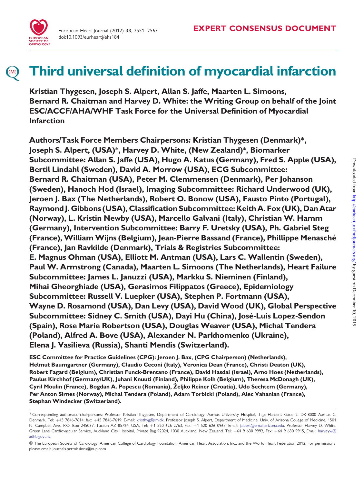

European Heart Journal (2012) 33, 2551–2567 doi:10.1093/eurheartj/ehs184



# Third universal definition of myocardial infarction

Kristian Thygesen, Joseph S. Alpert, Allan S. Jaffe, Maarten L. Simoons, Bernard R. Chaitman and Harvey D. White: the Writing Group on behalf of the Joint ESC/ACCF/AHA/WHF Task Force for the Universal Definition of Myocardial Infarction

Authors/Task Force Members Chairpersons: Kristian Thygesen (Denmark)\*, Joseph S. Alpert, (USA)\*, Harvey D. White, (New Zealand)\*, Biomarker Subcommittee: Allan S. Jaffe (USA), Hugo A. Katus (Germany), Fred S. Apple (USA), Bertil Lindahl (Sweden), David A. Morrow (USA), ECG Subcommittee: Bernard R. Chaitman (USA), Peter M. Clemmensen (Denmark), Per Johanson (Sweden), Hanoch Hod (Israel), Imaging Subcommittee: Richard Underwood (UK), Jeroen J. Bax (The Netherlands), Robert O. Bonow (USA), Fausto Pinto (Portugal), Raymond J. Gibbons (USA), Classification Subcommittee: Keith A. Fox (UK), Dan Atar (Norway), L. Kristin Newby (USA), Marcello Galvani (Italy), Christian W. Hamm (Germany), Intervention Subcommittee: Barry F. Uretsky (USA), Ph. Gabriel Steg (France), William Wijns (Belgium), Jean-Pierre Bassand (France), Phillippe Menasche´ (France), Jan Ravkilde (Denmark), Trials & Registries Subcommittee: E. Magnus Ohman (USA), Elliott M. Antman (USA), Lars C. Wallentin (Sweden), Paul W. Armstrong (Canada), Maarten L. Simoons (The Netherlands), Heart Failure Subcommittee: James L. Januzzi (USA), Markku S. Nieminen (Finland), Mihai Gheorghiade (USA), Gerasimos Filippatos (Greece), Epidemiology Subcommittee: Russell V. Luepker (USA), Stephen P. Fortmann (USA), Wayne D. Rosamond (USA), Dan Levy (USA), David Wood (UK), Global Perspective Subcommittee: Sidney C. Smith (USA), Dayi Hu (China), José-Luis Lopez-Sendon (Spain), Rose Marie Robertson (USA), Douglas Weaver (USA), Michal Tendera (Poland), Alfred A. Bove (USA), Alexander N. Parkhomenko (Ukraine), Elena J. Vasilieva (Russia), Shanti Mendis (Switzerland).

ESC Committee for Practice Guidelines (CPG): Jeroen J. Bax, (CPG Chairperson) (Netherlands), Helmut Baumgartner (Germany), Claudio Ceconi (Italy), Veronica Dean (France), Christi Deaton (UK), Robert Fagard (Belgium), Christian Funck-Brentano (France), David Hasdai (Israel), Arno Hoes (Netherlands), Paulus Kirchhof (Germany/UK), Juhani Knuuti (Finland), Philippe Kolh (Belgium), Theresa McDonagh (UK), Cyril Moulin (France), Bogdan A. Popescu (Romania), Željko Reiner (Croatia), Udo Sechtem (Germany), Per Anton Sirnes (Norway), Michal Tendera (Poland), Adam Torbicki (Poland), Alec Vahanian (France), Stephan Windecker (Switzerland).

<sup>\*</sup> Corresponding authors/co-chairpersons: Professor Kristian Thygesen, Department of Cardiology, Aarhus University Hospital, Tage-Hansens Gade 2, DK-8000 Aarhus C, Denmark. Tel: +45 7846-7614; fax: +45 7846-7619: E-mail: [kristhyg@rm.dk.](mailto:kristhyg@rm.dk) Professor Joseph S. Alpert, Department of Medicine, Univ. of Arizona College of Medicine, 1501 N. Campbell Ave., P.O. Box 245037, Tucson AZ 85724, USA, Tel: +1 520 626 2763, Fax: +1 520 626 0967, Email: [jalpert@email.arizona.edu](mailto:jalpert@email.arizona.edu). Professor Harvey D. White, Green Lane Cardiovascular Service, Auckland City Hospital, Private Bag 92024, 1030 Auckland, New Zealand. Tel: +64 9 630 9992, Fax: +64 9 630 9915, Email: [harveyw@](mailto:harveyw@adhb.govt.nz) [adhb.govt.nz.](mailto:harveyw@adhb.govt.nz)

<sup>&</sup>amp; The European Society of Cardiology, American College of Cardiology Foundation, American Heart Association, Inc., and the World Heart Federation 2012. For permissions please email: journals.permissions@oup.com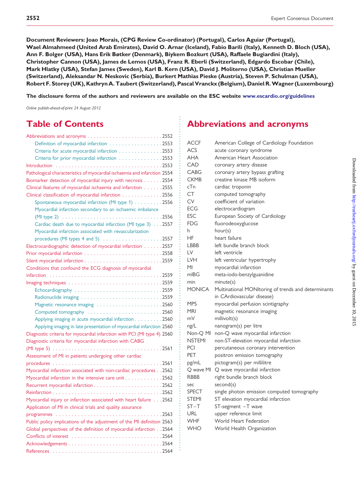Document Reviewers: Joao Morais, (CPG Review Co-ordinator) (Portugal), Carlos Aguiar (Portugal), Wael Almahmeed (United Arab Emirates), David O. Arnar (Iceland), Fabio Barili (Italy), Kenneth D. Bloch (USA), Ann F. Bolger (USA), Hans Erik Bøtker (Denmark), Biykem Bozkurt (USA), Raffaele Bugiardini (Italy), Christopher Cannon (USA), James de Lemos (USA), Franz R. Eberli (Switzerland), Edgardo Escobar (Chile), Mark Hlatky (USA), Stefan James (Sweden), Karl B. Kern (USA), David J. Moliterno (USA), Christian Mueller (Switzerland), Aleksandar N. Neskovic (Serbia), Burkert Mathias Pieske (Austria), Steven P. Schulman (USA), Robert F. Storey (UK), Kathryn A. Taubert (Switzerland), Pascal Vranckx (Belgium), Daniel R.Wagner (Luxembourg)

The disclosure forms of the authors and reviewers are available on the ESC website <www.escardio.org/guidelines>

Online publish-ahead-of-print 24 August 2012

## Table of Contents

| Definition of myocardial infarction 2553                                 |
|--------------------------------------------------------------------------|
| Criteria for acute myocardial infarction 2553                            |
| Criteria for prior myocardial infarction 2553                            |
|                                                                          |
| Pathological characteristics of myocardial ischaemia and infarction 2554 |
| Biomarker detection of myocardial injury with necrosis 2554              |
| Clinical features of myocardial ischaemia and infarction 2555            |
| Clinical classification of myocardial infarction 2556                    |
| Spontaneous myocardial infarction (MI type 1) 2556                       |
| Myocardial infarction secondary to an ischaemic imbalance                |
|                                                                          |
| Cardiac death due to myocardial infarction (MI type 3) 2557              |
| Myocardial infarction associated with revascularization                  |
|                                                                          |
| Electrocardiographic detection of myocardial infarction 2557             |
|                                                                          |
|                                                                          |
| Conditions that confound the ECG diagnosis of myocardial                 |
|                                                                          |
|                                                                          |
|                                                                          |
|                                                                          |
|                                                                          |
|                                                                          |
| Applying imaging in acute myocardial infarction 2560                     |
| Applying imaging in late presentation of myocardial infarction 2560      |
| Diagnostic criteria for myocardial infarction with PCI (MI type 4) 2560  |
| Diagnostic criteria for myocardial infarction with CABG                  |
|                                                                          |
| Assessment of MI in patients undergoing other cardiac                    |
|                                                                          |
| Myocardial infarction associated with non-cardiac procedures 2562        |
| Myocardial infarction in the intensive care unit 2562                    |
|                                                                          |
|                                                                          |
| Myocardial injury or infarction associated with heart failure 2562       |
| Application of MI in clinical trials and quality assurance               |
| programmes<br>$\mathcal{L}^{\mathcal{L}}$ .                              |
| Public policy implications of the adjustment of the MI definition 2563   |
| Global perspectives of the definition of myocardial infarction 2564      |
|                                                                          |
|                                                                          |
|                                                                          |
|                                                                          |

## Abbreviations and acronyms

| ACCF          | American College of Cardiology Foundation           |
|---------------|-----------------------------------------------------|
| ACS           | acute coronary syndrome                             |
| AHA           | American Heart Association                          |
| <b>CAD</b>    | coronary artery disease                             |
| CABG          | coronary artery bypass grafting                     |
| <b>CKMB</b>   | creatine kinase MB isoform                          |
| cTn           | cardiac troponin                                    |
| СT            | computed tomography                                 |
| <b>CV</b>     | coefficient of variation                            |
| <b>ECG</b>    | electrocardiogram                                   |
| ESC           | European Society of Cardiology                      |
| FDG           | fluorodeoxyglucose                                  |
| h             | hour(s)                                             |
| НF            | heart failure                                       |
| LBBB          | left bundle branch block                            |
| LV            | left ventricle                                      |
| LVH           | left ventricular hypertrophy                        |
| MI            | myocardial infarction                               |
| mIBG          | meta-iodo-benzylguanidine                           |
| min           | minute(s)                                           |
| <b>MONICA</b> | Multinational MONItoring of trends and determinants |
|               | in CArdiovascular disease)                          |
| <b>MPS</b>    | myocardial perfusion scintigraphy                   |
| MRI           | magnetic resonance imaging                          |
| mV            | millivolt(s)                                        |
| ng/L          | nanogram(s) per litre                               |
| Non-Q MI      | non-Q wave myocardial infarction                    |
| <b>NSTEMI</b> | non-ST-elevation myocardial infarction              |
| PCI           | percutaneous coronary intervention                  |
| PET           | positron emission tomography                        |
| pg/mL         | pictogram(s) per millilitre                         |
| Q wave MI     | Q wave myocardial infarction                        |
| RBBB          | right bundle branch block                           |
| sec           | second(s)                                           |
| SPECT         | single photon emission computed tomography          |
| STEMI         | ST elevation myocardial infarction                  |
| $ST-T$        | ST-segment -T wave                                  |
| URL           | upper reference limit                               |
| WHF           | World Heart Federation                              |
| <b>WHO</b>    | World Health Organization                           |
|               |                                                     |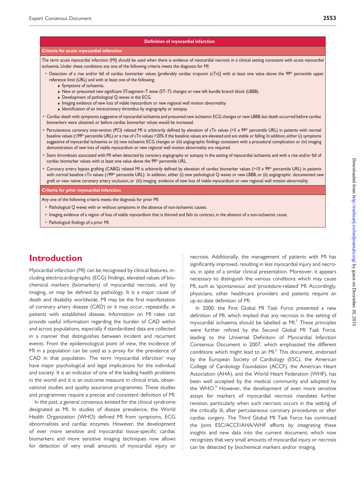#### **Definition of myocardial infarction Criteria for acute myocardial infarction** The term acute myocardial infarction (MI) should be used when there is evidence of myocardial necrosis in a clinical setting consistent with acute myocardial ischaemia. Under these conditions any one of the following criteria meets the diagnosis for MI: • Detection of a rise and/or fall of cardiac biomarker values [preferably cardiac troponin (cTn)] with at least one value above the 99<sup>th</sup> percentile upper reference limit (URL) and with at least one of the following: Symptoms of ischaemia. New or presumed new significant ST-segment–T wave (ST–T) changes or new left bundle branch block (LBBB). Development of pathological Q waves in the ECG. Imaging evidence of new loss of viable myocardium or new regional wall motion abnormality.  $\bullet$  Identification of an intracoronary thrombus by angiography or autopsy. • Cardiac death with symptoms suggestive of myocardial ischaemia and presumed new ischaemic ECG changes or new LBBB,but death occurred before cardiac biomarkers were obtained, or before cardiac biomarker values would be increased. • Percutaneous coronary intervention (PCI) related MI is arbitrarily defined by elevation of cTn values (>5 x 99<sup>th</sup> percentile URL) in patients with normal baseline values (≤99<sup>th</sup> percentile URL) or a rise of cTn values >20% if the baseline values are elevated and are stable or falling. In addition, either (i) symptoms suggestive of myocardial ischaemia or (ii) new ischaemic ECG changes or (iii) angiographic findings consistent with a procedural complication or (iv) imaging demonstration of new loss of viable myocardium or new regional wall motion abnormality are required. • Stent thrombosis associated with MI when detected by coronary angiography or autopsy in the setting of myocardial ischaemia and with a rise and/or fall of cardiac biomarker values with at least one value above the 99<sup>th</sup> percentile URL • Coronary artery bypass grafting (CABG) related MI is arbitrarily defined by elevation of cardiac biomarker values (>10 x 99<sup>th</sup> percentile URL) in patients with normal baseline cTn values (≤99<sup>th</sup> percentile URL). In addition, either (i) new pathological Q waves or new LBBB, or (ii) angiographic documented new graft or new native coronary artery occlusion, or (iii) imaging evidence of new loss of viable myocardium or new regional wall motion abnormality. **Criteria for prior myocardial infarction** Any one of the following criteria meets the diagnosis for prior MI: • Pathological Q waves with or without symptoms in the absence of non-ischaemic causes. • Imaging evidence of a region of loss of viable myocardium that is thinned and fails to contract, in the absence of a non-ischaemic cause. • Pathological findings of a prior MI.

## Introduction

Myocardial infarction (MI) can be recognised by clinical features, including electrocardiographic (ECG) findings, elevated values of biochemical markers (biomarkers) of myocardial necrosis, and by imaging, or may be defined by pathology. It is a major cause of death and disability worldwide. MI may be the first manifestation of coronary artery disease (CAD) or it may occur, repeatedly, in patients with established disease. Information on MI rates can provide useful information regarding the burden of CAD within and across populations, especially if standardized data are collected in a manner that distinguishes between incident and recurrent events. From the epidemiological point of view, the incidence of MI in a population can be used as a proxy for the prevalence of CAD in that population. The term 'myocardial infarction' may have major psychological and legal implications for the individual and society. It is an indicator of one of the leading health problems in the world and it is an outcome measure in clinical trials, observational studies and quality assurance programmes. These studies and programmes require a precise and consistent definition of MI.

In the past, a general consensus existed for the clinical syndrome designated as MI. In studies of disease prevalence, the World Health Organization (WHO) defined MI from symptoms, ECG abnormalities and cardiac enzymes. However, the development of ever more sensitive and myocardial tissue-specific cardiac biomarkers and more sensitive imaging techniques now allows for detection of very small amounts of myocardial injury or

necrosis. Additionally, the management of patients with MI has significantly improved, resulting in less myocardial injury and necrosis, in spite of a similar clinical presentation. Moreover, it appears necessary to distinguish the various conditions which may cause MI, such as 'spontaneous' and 'procedure-related' MI. Accordingly, physicians, other healthcare providers and patients require an up-to-date definition of MI.

In 2000, the First Global MI Task Force presented a new definition of MI, which implied that any necrosis in the setting of myocardial ischaemia should be labelled as  $MI<sup>1</sup>$  These principles were further refined by the Second Global MI Task Force, leading to the Universal Definition of Myocardial Infarction Consensus Document in 2007, which emphasized the different conditions which might lead to an  $MI<sup>2</sup>$  $MI<sup>2</sup>$  $MI<sup>2</sup>$  This document, endorsed by the European Society of Cardiology (ESC), the American College of Cardiology Foundation (ACCF), the American Heart Association (AHA), and the World Heart Federation (WHF), has been well accepted by the medical community and adopted by the  $WHO<sup>3</sup>$  $WHO<sup>3</sup>$  $WHO<sup>3</sup>$  However, the development of even more sensitive assays for markers of myocardial necrosis mandates further revision, particularly when such necrosis occurs in the setting of the critically ill, after percutaneous coronary procedures or after cardiac surgery. The Third Global MI Task Force has continued the Joint ESC/ACCF/AHA/WHF efforts by integrating these insights and new data into the current document, which now recognizes that very small amounts of myocardial injury or necrosis can be detected by biochemical markers and/or imaging.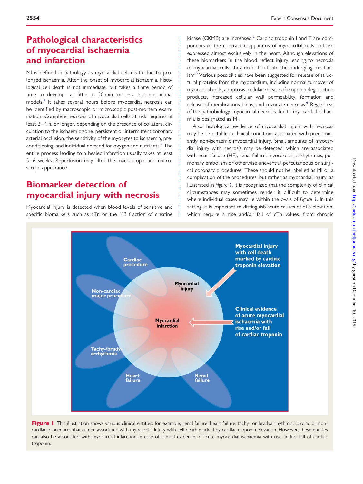## Pathological characteristics of myocardial ischaemia and infarction

MI is defined in pathology as myocardial cell death due to prolonged ischaemia. After the onset of myocardial ischaemia, histological cell death is not immediate, but takes a finite period of time to develop—as little as 20 min, or less in some animal models.[4](#page-14-0) It takes several hours before myocardial necrosis can be identified by macroscopic or microscopic post-mortem examination. Complete necrosis of myocardial cells at risk requires at least 2–4 h, or longer, depending on the presence of collateral circulation to the ischaemic zone, persistent or intermittent coronary arterial occlusion, the sensitivity of the myocytes to ischaemia, preconditioning, and individual demand for oxygen and nutrients. $2$  The entire process leading to a healed infarction usually takes at least 5–6 weeks. Reperfusion may alter the macroscopic and microscopic appearance.

## Biomarker detection of myocardial injury with necrosis

Myocardial injury is detected when blood levels of sensitive and specific biomarkers such as cTn or the MB fraction of creatine

kinase (CKMB) are increased.<sup>[2](#page-13-0)</sup> Cardiac troponin I and T are components of the contractile apparatus of myocardial cells and are expressed almost exclusively in the heart. Although elevations of these biomarkers in the blood reflect injury leading to necrosis of myocardial cells, they do not indicate the underlying mechanism.<sup>5</sup> Various possibilities have been suggested for release of structural proteins from the myocardium, including normal turnover of myocardial cells, apoptosis, cellular release of troponin degradation products, increased cellular wall permeability, formation and release of membranous blebs, and myocyte necrosis.<sup>6</sup> Regardless of the pathobiology, myocardial necrosis due to myocardial ischaemia is designated as MI.

Also, histological evidence of myocardial injury with necrosis may be detectable in clinical conditions associated with predominantly non-ischaemic myocardial injury. Small amounts of myocardial injury with necrosis may be detected, which are associated with heart failure (HF), renal failure, myocarditis, arrhythmias, pulmonary embolism or otherwise uneventful percutaneous or surgical coronary procedures. These should not be labelled as MI or a complication of the procedures, but rather as myocardial injury, as illustrated in Figure 1. It is recognized that the complexity of clinical circumstances may sometimes render it difficult to determine where individual cases may lie within the ovals of Figure 1. In this setting, it is important to distinguish acute causes of cTn elevation, which require a rise and/or fall of cTn values, from chronic



Figure I This illustration shows various clinical entities: for example, renal failure, heart failure, tachy- or bradyarrhythmia, cardiac or noncardiac procedures that can be associated with myocardial injury with cell death marked by cardiac troponin elevation. However, these entities can also be associated with myocardial infarction in case of clinical evidence of acute myocardial ischaemia with rise and/or fall of cardiac troponin.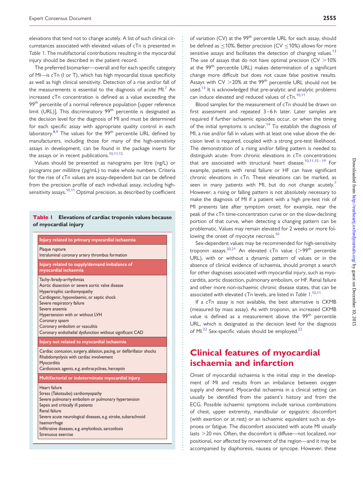elevations that tend not to change acutely. A list of such clinical circumstances associated with elevated values of cTn is presented in Table 1. The multifactorial contributions resulting in the myocardial injury should be described in the patient record.

The preferred biomarker—overall and for each specific category of MI—is cTn (I or T), which has high myocardial tissue specificity as well as high clinical sensitivity. Detection of a rise and/or fall of the measurements is essential to the diagnosis of acute  $MI^7$  $MI^7$  An increased cTn concentration is defined as a value exceeding the 99<sup>th</sup> percentile of a normal reference population Jupper reference limit (URL)]. This discriminatory  $99<sup>th</sup>$  percentile is designated as the decision level for the diagnosis of MI and must be determined for each specific assay with appropriate quality control in each laboratory.<sup>8,9</sup> The values for the 99<sup>th</sup> percentile URL defined by manufacturers, including those for many of the high-sensitivity assays in development, can be found in the package inserts for the assays or in recent publications.<sup>[10,11,12](#page-14-0)</sup>

Values should be presented as nanograms per litre (ng/L) or picograms per millilitre (pg/mL) to make whole numbers. Criteria for the rise of cTn values are assay-dependent but can be defined from the precision profile of each individual assay, including high-sensitivity assays.<sup>[10,11](#page-14-0)</sup> Optimal precision, as described by coefficient

#### Table I Elevations of cardiac troponin values because of myocardial injury

|                                                                                                                                                                                                  | Injury related to primary myocardial ischaemia                                                                                                             |
|--------------------------------------------------------------------------------------------------------------------------------------------------------------------------------------------------|------------------------------------------------------------------------------------------------------------------------------------------------------------|
| Plaque rupture                                                                                                                                                                                   | Intraluminal coronary artery thrombus formation                                                                                                            |
| myocardial ischaemia                                                                                                                                                                             | Injury related to supply/demand imbalance of                                                                                                               |
| Tachy-/brady-arrhythmias<br>Hypertrophic cardiomyopathy<br>Severe respiratory failure<br>Severe anaemia<br>Hypertension with or without LVH<br>Coronary spasm<br>Coronary embolism or vasculitis | Aortic dissection or severe aortic valve disease<br>Cardiogenic, hypovolaemic, or septic shock<br>Coronary endothelial dysfunction without significant CAD |
|                                                                                                                                                                                                  | Injury not related to myocardial ischaemia                                                                                                                 |
|                                                                                                                                                                                                  | Cardiac contusion, surgery, ablation, pacing, or defibrillator shocks                                                                                      |
| Myocarditis                                                                                                                                                                                      | Rhabdomyolysis with cardiac involvement<br>Cardiotoxic agents, e.g. anthracyclines, herceptin                                                              |
|                                                                                                                                                                                                  | Multifactorial or indeterminate myocardial injury                                                                                                          |

of variation (CV) at the 99<sup>th</sup> percentile URL for each assay, should be defined as ≤10%. Better precision (CV ≤10%) allows for more sensitive assays and facilitates the detection of changing values.<sup>13</sup> The use of assays that do not have optimal precision  $(CV > 10\%)$ at the 99<sup>th</sup> percentile URL) makes determination of a significant change more difficult but does not cause false positive results. Assays with CV  $>$  20% at the 99<sup>th</sup> percentile URL should not be used.[13](#page-14-0) It is acknowledged that pre-analytic and analytic problems can induce elevated and reduced values of cTn.<sup>10,11</sup>

Blood samples for the measurement of cTn should be drawn on first assessment and repeated 3–6 h later. Later samples are required if further ischaemic episodes occur, or when the timing of the initial symptoms is unclear.<sup>[14](#page-14-0)</sup> To establish the diagnosis of MI, a rise and/or fall in values with at least one value above the decision level is required, coupled with a strong pre-test likelihood. The demonstration of a rising and/or falling pattern is needed to distinguish acute- from chronic elevations in cTn concentrations that are associated with structural heart disease.<sup>[10,11,15](#page-14-0)-[19](#page-14-0)</sup> For example, patients with renal failure or HF can have significant chronic elevations in cTn. These elevations can be marked, as seen in many patients with MI, but do not change acutely.<sup>[7](#page-14-0)</sup> However, a rising or falling pattern is not absolutely necessary to make the diagnosis of MI if a patient with a high pre-test risk of MI presents late after symptom onset; for example, near the peak of the cTn time-concentration curve or on the slow-declining portion of that curve, when detecting a changing pattern can be problematic. Values may remain elevated for 2 weeks or more fol-lowing the onset of myocyte necrosis.<sup>[10](#page-14-0)</sup>

Sex-dependent values may be recommended for high-sensitivity troponin assays.<sup>[20,21](#page-14-0)</sup> An elevated cTn value ( $>99^{th}$  percentile URL), with or without a dynamic pattern of values or in the absence of clinical evidence of ischaemia, should prompt a search for other diagnoses associated with myocardial injury, such as myocarditis, aortic dissection, pulmonary embolism, or HF. Renal failure and other more non-ischaemic chronic disease states, that can be associated with elevated c $T$ n levels, are listed in  $Table\ 1.^{10,11}$  $Table\ 1.^{10,11}$  $Table\ 1.^{10,11}$ 

If a cTn assay is not available, the best alternative is CKMB (measured by mass assay). As with troponin, an increased CKMB value is defined as a measurement above the 99<sup>th</sup> percentile URL, which is designated as the decision level for the diagnosis of MI.<sup>[22](#page-14-0)</sup> Sex-specific values should be employed.<sup>22</sup>

### Clinical features of myocardial ischaemia and infarction

Onset of myocardial ischaemia is the initial step in the development of MI and results from an imbalance between oxygen supply and demand. Myocardial ischaemia in a clinical setting can usually be identified from the patient's history and from the ECG. Possible ischaemic symptoms include various combinations of chest, upper extremity, mandibular or epigastric discomfort (with exertion or at rest) or an ischaemic equivalent such as dyspnoea or fatigue. The discomfort associated with acute MI usually lasts  $>$  20 min. Often, the discomfort is diffuse—not localized, nor positional, nor affected by movement of the region—and it may be accompanied by diaphoresis, nausea or syncope. However, these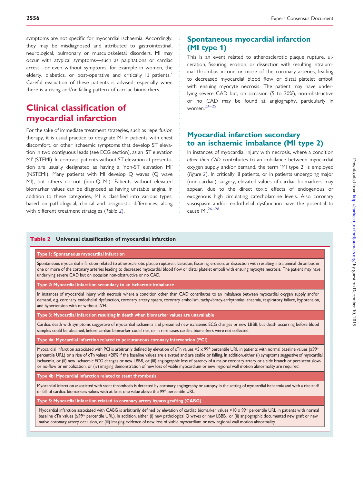symptoms are not specific for myocardial ischaemia. Accordingly, they may be misdiagnosed and attributed to gastrointestinal, neurological, pulmonary or musculoskeletal disorders. MI may occur with atypical symptoms—such as palpitations or cardiac arrest—or even without symptoms; for example in women, the elderly, diabetics, or post-operative and critically ill patients.<sup>[2](#page-13-0)</sup> Careful evaluation of these patients is advised, especially when there is a rising and/or falling pattern of cardiac biomarkers.

### Clinical classification of myocardial infarction

For the sake of immediate treatment strategies, such as reperfusion therapy, it is usual practice to designate MI in patients with chest discomfort, or other ischaemic symptoms that develop ST elevation in two contiguous leads (see ECG section), as an 'ST elevation MI' (STEMI). In contrast, patients without ST elevation at presentation are usually designated as having a 'non-ST elevation MI' (NSTEMI). Many patients with MI develop Q waves (Q wave MI), but others do not (non-Q MI). Patients without elevated biomarker values can be diagnosed as having unstable angina. In addition to these categories, MI is classified into various types, based on pathological, clinical and prognostic differences, along with different treatment strategies (Table 2).

#### Spontaneous myocardial infarction (MI type 1)

This is an event related to atherosclerotic plaque rupture, ulceration, fissuring, erosion, or dissection with resulting intraluminal thrombus in one or more of the coronary arteries, leading to decreased myocardial blood flow or distal platelet emboli with ensuing myocyte necrosis. The patient may have underlying severe CAD but, on occasion (5 to 20%), non-obstructive or no CAD may be found at angiography, particularly in women. $23 - 25$  $23 - 25$  $23 - 25$ 

#### Myocardial infarction secondary to an ischaemic imbalance (MI type 2)

In instances of myocardial injury with necrosis, where a condition other than CAD contributes to an imbalance between myocardial oxygen supply and/or demand, the term 'MI type 2' is employed (Figure [2](#page-6-0)). In critically ill patients, or in patients undergoing major (non-cardiac) surgery, elevated values of cardiac biomarkers may appear, due to the direct toxic effects of endogenous or exogenous high circulating catecholamine levels. Also coronary vasospasm and/or endothelial dysfunction have the potential to cause  $MI^{26-28}$  $MI^{26-28}$  $MI^{26-28}$  $MI^{26-28}$  $MI^{26-28}$ 

#### Table 2 Universal classification of myocardial infarction

#### **Type 1: Spontaneous myocardial infarction**

Spontaneous myocardial infarction related to atherosclerotic plaque rupture, ulceration, fissuring, erosion, or dissection with resulting intraluminal thrombus in one or more of the coronary arteries leading to decreased myocardial blood flow or distal platelet emboli with ensuing myocyte necrosis. The patient may have underlying severe CAD but on occasion non-obstructive or no CAD.

**Type 2: Myocardial infarction secondary to an ischaemic imbalance**

In instances of myocardial injury with necrosis where a condition other than CAD contributes to an imbalance between myocardial oxygen supply and/or demand, e.g. coronary endothelial dysfunction, coronary artery spasm, coronary embolism, tachy-/brady-arrhythmias, anaemia, respiratory failure, hypotension, and hypertension with or without LVH.

**Type 3: Myocardial infarction resulting in death when biomarker values are unavailable**

Cardiac death with symptoms suggestive of myocardial ischaemia and presumed new ischaemic ECG changes or new LBBB, but death occurring before blood samples could be obtained, before cardiac biomarker could rise, or in rare cases cardiac biomarkers were not collected.

**Type 4a: Myocardial infarction related to percutaneous coronary intervention (PCI)** 

Myocardial infarction associated with PCI is arbitrarily defined by elevation of cTn values  $>5 \times 99$ <sup>th</sup> percentile URL in patients with normal baseline values ( $\leq 99$ <sup>th</sup> percentile URL) or a rise of cTn values >20% if the baseline values are elevated and are stable or falling. In addition,either (i) symptoms suggestive of myocardial ischaemia, or (ii) new ischaemic ECG changes or new LBBB, or (iii) angiographic loss of patency of a major coronary artery or a side branch or persistent slowor no-flow or embolization, or (iv) imaging demonstration of new loss of viable myocardium or new regional wall motion abnormality are required.

**Type 4b: Myocardial infarction related to stent thrombosis**

Myocardial infarction associated with stent thrombosis is detected by coronary angiography or autopsy in the setting of myocardial ischaemia and with a rise and/ or fall of cardiac biomarkers values with at least one value above the 99<sup>th</sup> percentile URL.

**Type 5: Myocardial infarction related to coronary artery bypass grafting (CABG)** 

Myocardial infarction associated with CABG is arbitrarily defined by elevation of cardiac biomarker values >10 x 99<sup>th</sup> percentile URL in patients with normal baseline cTn values (<99<sup>th</sup> percentile URL). In addition, either (i) new pathological Q waves or new LBBB, or (ii) angiographic documented new graft or new native coronary artery occlusion, or (iii) imaging evidence of new loss of viable myocardium or new regional wall motion abnormality.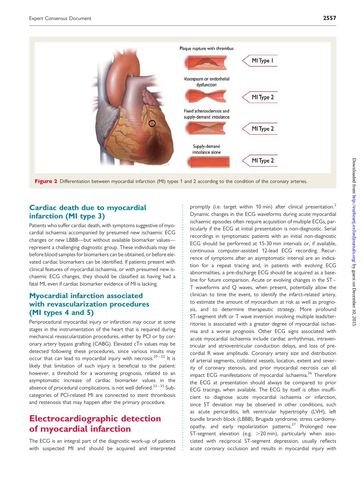<span id="page-6-0"></span>

Figure 2 Differentiation between myocardial infarction (MI) types 1 and 2 according to the condition of the coronary arteries.

#### Cardiac death due to myocardial infarction (MI type 3)

Patients who suffer cardiac death, with symptoms suggestive of myocardial ischaemia accompanied by presumed new ischaemic ECG changes or new LBBB—but without available biomarker values represent a challenging diagnostic group. These individuals may die before blood samples for biomarkers can be obtained, or before elevated cardiac biomarkers can be identified. If patients present with clinical features of myocardial ischaemia, or with presumed new ischaemic ECG changes, they should be classified as having had a fatal MI, even if cardiac biomarker evidence of MI is lacking.

#### Myocardial infarction associated with revascularization procedures (MI types 4 and 5)

Periprocedural myocardial injury or infarction may occur at some stages in the instrumentation of the heart that is required during mechanical revascularization procedures, either by PCI or by coronary artery bypass grafting (CABG). Elevated cTn values may be detected following these procedures, since various insults may occur that can lead to myocardial injury with necrosis.<sup>[29](#page-14-0)-[32](#page-14-0)</sup> It is likely that limitation of such injury is beneficial to the patient: however, a threshold for a worsening prognosis, related to an asymptomatic increase of cardiac biomarker values in the absence of procedural complications, is not well defined. $33-35$  $33-35$  $33-35$  Subcategories of PCI-related MI are connected to stent thrombosis and restenosis that may happen after the primary procedure.

## Electrocardiographic detection of myocardial infarction

The ECG is an integral part of the diagnostic work-up of patients with suspected MI and should be acquired and interpreted promptly (i.e. target within 10 min) after clinical presentation.<sup>[2](#page-13-0)</sup> Dynamic changes in the ECG waveforms during acute myocardial ischaemic episodes often require acquisition of multiple ECGs, particularly if the ECG at initial presentation is non-diagnostic. Serial recordings in symptomatic patients with an initial non-diagnostic ECG should be performed at 15-30 min intervals or, if available, continuous computer-assisted 12-lead ECG recording. Recurrence of symptoms after an asymptomatic interval are an indication for a repeat tracing and, in patients with evolving ECG abnormalities, a pre-discharge ECG should be acquired as a baseline for future comparison. Acute or evolving changes in the ST– T waveforms and Q waves, when present, potentially allow the clinician to time the event, to identify the infarct-related artery, to estimate the amount of myocardium at risk as well as prognosis, and to determine therapeutic strategy. More profound ST-segment shift or T wave inversion involving multiple leads/territories is associated with a greater degree of myocardial ischaemia and a worse prognosis. Other ECG signs associated with acute myocardial ischaemia include cardiac arrhythmias, intraventricular and atrioventricular conduction delays, and loss of precordial R wave amplitude. Coronary artery size and distribution of arterial segments, collateral vessels, location, extent and severity of coronary stenosis, and prior myocardial necrosis can all impact ECG manifestations of myocardial ischaemia.<sup>36</sup> Therefore the ECG at presentation should always be compared to prior ECG tracings, when available. The ECG by itself is often insufficient to diagnose acute myocardial ischaemia or infarction, since ST deviation may be observed in other conditions, such as acute pericarditis, left ventricular hypertrophy (LVH), left bundle branch block (LBBB), Brugada syndrome, stress cardiomy-opathy, and early repolarization patterns.<sup>[37](#page-14-0)</sup> Prolonged new ST-segment elevation (e.g.  $>$  20 min), particularly when associated with reciprocal ST-segment depression, usually reflects acute coronary occlusion and results in myocardial injury with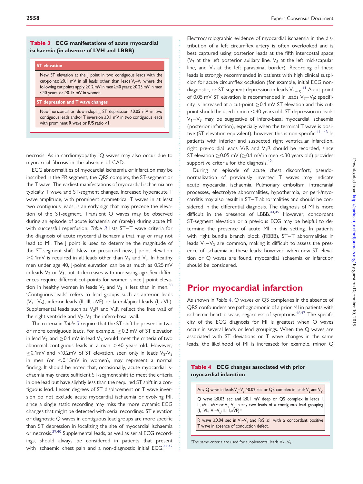#### Table 3 ECG manifestations of acute myocardial ischaemia (in absence of LVH and LBBB)

#### **ST elevation**

New ST elevation at the J point in two contiguous leads with the cut-points:  $\geq 0.1$  mV in all leads other than leads  $V_2 - V_3$  where the following cut points apply:≥0.2 mV in men ≥40 years;≥0.25 mV in men <40 years, or ≥0.15 mV in women.

**ST depression and T wave changes**

New horizontal or down-sloping ST depression ≥0.05 mV in two contiguous leads and/or T inversion ≥0.1 mV in two contiguous leads with prominent R wave or R/S ratio >1.

necrosis. As in cardiomyopathy, Q waves may also occur due to myocardial fibrosis in the absence of CAD.

ECG abnormalities of myocardial ischaemia or infarction may be inscribed in the PR segment, the QRS complex, the ST-segment or the T wave. The earliest manifestations of myocardial ischaemia are typically T wave and ST-segment changes. Increased hyperacute T wave amplitude, with prominent symmetrical T waves in at least two contiguous leads, is an early sign that may precede the elevation of the ST-segment. Transient Q waves may be observed during an episode of acute ischaemia or (rarely) during acute MI with successful reperfusion. Table 3 lists ST–T wave criteria for the diagnosis of acute myocardial ischaemia that may or may not lead to MI. The J point is used to determine the magnitude of the ST-segment shift. New, or presumed new, J point elevation  $\geq$ 0.1mV is required in all leads other than V<sub>2</sub> and V<sub>3.</sub> In healthy men under age 40, J-point elevation can be as much as 0.25 mV in leads  $V_2$  or  $V_3$ , but it decreases with increasing age. Sex differences require different cut-points for women, since J point elevation in healthy women in leads  $V_2$  and  $V_3$  is less than in men.<sup>[38](#page-14-0)</sup> 'Contiguous leads' refers to lead groups such as anterior leads  $(V_1 - V_6)$ , inferior leads (II, III, aVF) or lateral/apical leads (I, aVL). Supplemental leads such as  $V_3R$  and  $V_4R$  reflect the free wall of the right ventricle and  $V_7$ - $V_9$  the infero-basal wall.

The criteria in Table 3 require that the ST shift be present in two or more contiguous leads. For example,  $\geq$  0.2 mV of ST elevation in lead  $V_2$  and  $\geq$  0.1 mV in lead  $V_1$  would meet the criteria of two abnormal contiguous leads in a man  $>40$  years old. However,  $\geq$ 0.1mV and <0.2mV of ST elevation, seen only in leads V<sub>2</sub>-V<sub>3</sub> in men (or  $<$  0.15mV in women), may represent a normal finding. It should be noted that, occasionally, acute myocardial ischaemia may create sufficient ST-segment shift to meet the criteria in one lead but have slightly less than the required ST shift in a contiguous lead. Lesser degrees of ST displacement or T wave inversion do not exclude acute myocardial ischaemia or evolving MI, since a single static recording may miss the more dynamic ECG changes that might be detected with serial recordings. ST elevation or diagnostic Q waves in contiguous lead groups are more specific than ST depression in localizing the site of myocardial ischaemia or necrosis.[39](#page-14-0),[40](#page-14-0) Supplemental leads, as well as serial ECG recordings, should always be considered in patients that present with ischaemic chest pain and a non-diagnostic initial ECG. $41,42$  $41,42$ 

Electrocardiographic evidence of myocardial ischaemia in the distribution of a left circumflex artery is often overlooked and is best captured using posterior leads at the fifth intercostal space ( $V_7$  at the left posterior axillary line,  $V_8$  at the left mid-scapular line, and V<sub>9</sub> at the left paraspinal border). Recording of these leads is strongly recommended in patients with high clinical suspicion for acute circumflex occlusion (for example, initial ECG nondiagnostic, or ST-segment depression in leads  $V_{1-3}$ , <sup>[41](#page-14-0)</sup> A cut-point of 0.05 mV ST elevation is recommended in leads  $V_7 - V_9$ ; specificity is increased at a cut-point  $> 0.1$  mV ST elevation and this cutpoint should be used in men  $<$  40 years old. ST depression in leads  $V_1 - V_3$  may be suggestive of infero-basal myocardial ischaemia (posterior infarction), especially when the terminal T wave is posi-tive (ST elevation equivalent), however this is non-specific.<sup>[41](#page-14-0)-[43](#page-15-0)</sup> In patients with inferior and suspected right ventricular infarction, right pre-cordial leads  $V_3R$  and  $V_4R$  should be recorded, since ST elevation  $>$  0.05 mV ( $>$  0.1 mV in men  $<$  30 years old) provides supportive criteria for the diagnosis. $42$ 

During an episode of acute chest discomfort, pseudonormalization of previously inverted T waves may indicate acute myocardial ischaemia. Pulmonary embolism, intracranial processes, electrolyte abnormalities, hypothermia, or peri-/myocarditis may also result in ST–T abnormalities and should be considered in the differential diagnosis. The diagnosis of MI is more difficult in the presence of LBBB.<sup>[44,45](#page-15-0)</sup> However, concordant ST-segment elevation or a previous ECG may be helpful to determine the presence of acute MI in this setting. In patients with right bundle branch block (RBBB), ST–T abnormalities in leads  $V_1 - V_3$  are common, making it difficult to assess the presence of ischaemia in these leads: however, when new ST elevation or Q waves are found, myocardial ischaemia or infarction should be considered.

#### Prior myocardial infarction

As shown in Table 4, Q waves or QS complexes in the absence of QRS confounders are pathognomonic of a prior MI in patients with ischaemic heart disease, regardless of symptoms.<sup>[46,47](#page-15-0)</sup> The specificity of the ECG diagnosis for MI is greatest when Q waves occur in several leads or lead groupings. When the Q waves are associated with ST deviations or T wave changes in the same leads, the likelihood of MI is increased; for example, minor Q

#### Table 4 ECG changes associated with prior myocardial infarction

Any Q wave in leads  $\vee_{_2} \!-\! \vee_{_3} \geq$  0.02 sec or QS complex in leads  $\vee_{_2}$  and  $\vee_{_3}$ .

Q wave ≥0.03 sec and ≥0.1 mV deep or QS complex in leads I, II, aVL, aVF or  $\vee_{\mathbf{4}}\mathsf{-V}_{\mathbf{6}}$  in any two leads of a contiguous lead grouping (l, aVL;  $V_1 - V_6$ ; ll, lll, aVF).<sup>3</sup>

R wave ≥0.04 sec in  $V_1$ - $V_2$  and R/S ≥1 with a concordant positive T wave in absence of conduction defect.

<sup>a</sup>The same criteria are used for supplemental leads  $V_7 - V_9$ .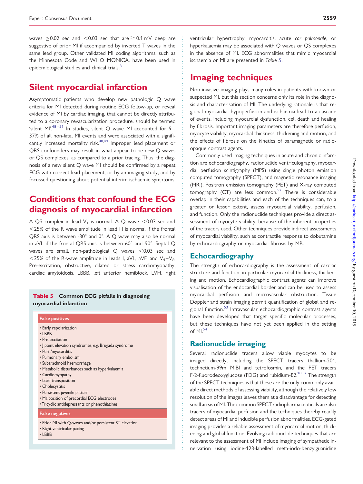Downloaded from http://eurheartj.oxfordjournals.org/ by guest on December 10,  $Downloaded from http://entheartj.oxfordjournals.org/ by guest on December 10, 2015$ 

 $.2015$ 

opaque contrast agents. Commonly used imaging techniques in acute and chronic infarction are echocardiography, radionuclide ventriculography, myocardial perfusion scintigraphy (MPS) using single photon emission computed tomography (SPECT), and magnetic resonance imaging (MRI). Positron emission tomography (PET) and X-ray computed tomography (CT) are less common. $52$  There is considerable overlap in their capabilities and each of the techniques can, to a greater or lesser extent, assess myocardial viability, perfusion, and function. Only the radionuclide techniques provide a direct assessment of myocyte viability, because of the inherent properties of the tracers used. Other techniques provide indirect assessments of myocardial viability, such as contractile response to dobutamine by echocardiography or myocardial fibrosis by MR.

ventricular hypertrophy, myocarditis, acute cor pulmonale, or hyperkalaemia may be associated with Q waves or QS complexes in the absence of MI. ECG abnormalities that mimic myocardial

Non-invasive imaging plays many roles in patients with known or suspected MI, but this section concerns only its role in the diagnosis and characterisation of MI. The underlying rationale is that regional myocardial hypoperfusion and ischaemia lead to a cascade of events, including myocardial dysfunction, cell death and healing by fibrosis. Important imaging parameters are therefore perfusion, myocyte viability, myocardial thickness, thickening and motion, and the effects of fibrosis on the kinetics of paramagnetic or radio-

ischaemia or MI are presented in Table 5.

Imaging techniques

#### Echocardiography

The strength of echocardiography is the assessment of cardiac structure and function, in particular myocardial thickness, thickening and motion. Echocardiographic contrast agents can improve visualisation of the endocardial border and can be used to assess myocardial perfusion and microvascular obstruction. Tissue Doppler and strain imaging permit quantification of global and regional function.[53](#page-15-0) Intravascular echocardiographic contrast agents have been developed that target specific molecular processes, but these techniques have not yet been applied in the setting of ML $^{54}$  $^{54}$  $^{54}$ 

#### Radionuclide imaging

Several radionuclide tracers allow viable myocytes to be imaged directly, including the SPECT tracers thallium-201, technetium-99m MIBI and tetrofosmin, and the PET tracers F-2-fluorodeoxyglucose (FDG) and rubidium-82.<sup>18[,52](#page-15-0)</sup> The strength of the SPECT techniques is that these are the only commonly available direct methods of assessing viability, although the relatively low resolution of the images leaves them at a disadvantage for detecting small areas of MI. The common SPECT radiopharmaceuticals are also tracers of myocardial perfusion and the techniques thereby readily detect areas of MI and inducible perfusion abnormalities. ECG-gated imaging provides a reliable assessment of myocardial motion, thickening and global function. Evolving radionuclide techniques that are relevant to the assessment of MI include imaging of sympathetic innervation using iodine-123-labelled meta-iodo-benzylguanidine

waves  $\geq$  0.02 sec and < 0.03 sec that are  $\geq$  0.1 mV deep are suggestive of prior MI if accompanied by inverted T waves in the same lead group. Other validated MI coding algorithms, such as the Minnesota Code and WHO MONICA, have been used in epidemiological studies and clinical trials.<sup>[3](#page-14-0)</sup>

### Silent myocardial infarction

Asymptomatic patients who develop new pathologic Q wave criteria for MI detected during routine ECG follow-up, or reveal evidence of MI by cardiac imaging, that cannot be directly attributed to a coronary revascularization procedure, should be termed 'silent MI'.[48](#page-15-0)-[51](#page-15-0) In studies, silent Q wave MI accounted for  $9-$ 37% of all non-fatal MI events and were associated with a signifi-cantly increased mortality risk.<sup>48,[49](#page-15-0)</sup> Improper lead placement or QRS confounders may result in what appear to be new Q waves or QS complexes, as compared to a prior tracing. Thus, the diagnosis of a new silent Q wave MI should be confirmed by a repeat ECG with correct lead placement, or by an imaging study, and by focussed questioning about potential interim ischaemic symptoms.

## Conditions that confound the ECG diagnosis of myocardial infarction

A QS complex in lead  $V_1$  is normal. A Q wave <0.03 sec and  $<$  25% of the R wave amplitude in lead III is normal if the frontal QRS axis is between -30 $^{\circ}$  and 0 $^{\circ}$ . A Q wave may also be normal in aVL if the frontal QRS axis is between  $60^{\circ}$  and  $90^{\circ}$ . Septal Q waves are small, non-pathological  $Q$  waves  $< 0.03$  sec and  $\leq$  25% of the R-wave amplitude in leads I, aVL, aVF, and V<sub>4</sub>-V<sub>6</sub>. Pre-excitation, obstructive, dilated or stress cardiomyopathy, cardiac amyloidosis, LBBB, left anterior hemiblock, LVH, right

#### Table 5 Common ECG pitfalls in diagnosing myocardial infarction

| <b>False positives</b>                                 |
|--------------------------------------------------------|
| • Early repolarization                                 |
| $\cdot$ LBBB                                           |
| • Pre-excitation                                       |
| • J point elevation syndromes, e.g. Brugada syndrome   |
| • Peri-/myocarditis                                    |
| • Pulmonary embolism                                   |
| • Subarachnoid haemorrhage                             |
| • Metabolic disturbances such as hyperkalaemia         |
| • Cardiomyopathy                                       |
| • Lead transposition                                   |
| • Cholecystitis                                        |
| • Persistent juvenile pattern                          |
| • Malposition of precordial ECG electrodes             |
| • Tricyclic antidepressants or phenothiazines          |
| <b>False negatives</b>                                 |
| • Prior MI with Q-waves and/or persistent ST elevation |
| • Right ventricular pacing                             |
| <b>LBBB</b>                                            |
|                                                        |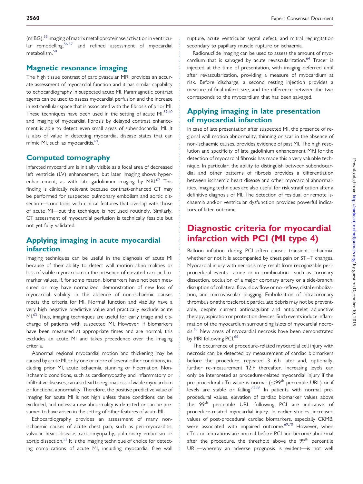$(mIBG)$ ,  $55$  imaging of matrix metalloproteinase activation in ventricu- $\text{lar}$  remodelling,  $56,57$  $56,57$  $56,57$  and refined assessment of myocardial metabolism.<sup>[58](#page-15-0)</sup>

#### Magnetic resonance imaging

The high tissue contrast of cardiovascular MRI provides an accurate assessment of myocardial function and it has similar capability to echocardiography in suspected acute MI. Paramagnetic contrast agents can be used to assess myocardial perfusion and the increase in extracellular space that is associated with the fibrosis of prior MI. These techniques have been used in the setting of acute MI, 59,60 and imaging of myocardial fibrosis by delayed contrast enhancement is able to detect even small areas of subendocardial MI. It is also of value in detecting myocardial disease states that can mimic MI, such as myocarditis.<sup>[61](#page-15-0)</sup>.

#### Computed tomography

Infarcted myocardium is initially visible as a focal area of decreased left ventricle (LV) enhancement, but later imaging shows hyperenhancement, as with late gadolinium imaging by MRI. $^{62}$  $^{62}$  $^{62}$  This finding is clinically relevant because contrast-enhanced CT may be performed for suspected pulmonary embolism and aortic dissection—conditions with clinical features that overlap with those of acute MI—but the technique is not used routinely. Similarly, CT assessment of myocardial perfusion is technically feasible but not yet fully validated.

#### Applying imaging in acute myocardial infarction

Imaging techniques can be useful in the diagnosis of acute MI because of their ability to detect wall motion abnormalities or loss of viable myocardium in the presence of elevated cardiac biomarker values. If, for some reason, biomarkers have not been measured or may have normalized, demonstration of new loss of myocardial viability in the absence of non-ischaemic causes meets the criteria for MI. Normal function and viability have a very high negative predictive value and practically exclude acute MI.<sup>[63](#page-15-0)</sup> Thus, imaging techniques are useful for early triage and discharge of patients with suspected MI. However, if biomarkers have been measured at appropriate times and are normal, this excludes an acute MI and takes precedence over the imaging criteria.

Abnormal regional myocardial motion and thickening may be caused by acute MI or by one or more of several other conditions, including prior MI, acute ischaemia, stunning or hibernation. Nonischaemic conditions, such as cardiomyopathy and inflammatory or infiltrative diseases, can also lead to regional loss of viable myocardium or functional abnormality. Therefore, the positive predictive value of imaging for acute MI is not high unless these conditions can be excluded, and unless a new abnormality is detected or can be presumed to have arisen in the setting of other features of acute MI.

Echocardiography provides an assessment of many nonischaemic causes of acute chest pain, such as peri-myocarditis, valvular heart disease, cardiomyopathy, pulmonary embolism or aortic dissection.<sup>[53](#page-15-0)</sup> It is the imaging technique of choice for detecting complications of acute MI, including myocardial free wall

rupture, acute ventricular septal defect, and mitral regurgitation secondary to papillary muscle rupture or ischaemia.

Radionuclide imaging can be used to assess the amount of myo-cardium that is salvaged by acute revascularization.<sup>[64](#page-15-0)</sup> Tracer is injected at the time of presentation, with imaging deferred until after revascularization, providing a measure of myocardium at risk. Before discharge, a second resting injection provides a measure of final infarct size, and the difference between the two corresponds to the myocardium that has been salvaged.

#### Applying imaging in late presentation of myocardial infarction

In case of late presentation after suspected MI, the presence of regional wall motion abnormality, thinning or scar in the absence of non-ischaemic causes, provides evidence of past MI. The high resolution and specificity of late gadolinium enhancement MRI for the detection of myocardial fibrosis has made this a very valuable technique. In particular, the ability to distinguish between subendocardial and other patterns of fibrosis provides a differentiation between ischaemic heart disease and other myocardial abnormalities. Imaging techniques are also useful for risk stratification after a definitive diagnosis of MI. The detection of residual or remote ischaemia and/or ventricular dysfunction provides powerful indicators of later outcome.

### Diagnostic criteria for myocardial infarction with PCI (MI type 4)

Balloon inflation during PCI often causes transient ischaemia, whether or not it is accompanied by chest pain or ST–T changes. Myocardial injury with necrosis may result from recognizable periprocedural events—alone or in combination—such as coronary dissection, occlusion of a major coronary artery or a side-branch, disruption of collateral flow, slow flow or no-reflow, distal embolization, and microvascular plugging. Embolization of intracoronary thrombus or atherosclerotic particulate debris may not be preventable, despite current anticoagulant and antiplatelet adjunctive therapy, aspiration or protection devices. Such events induce inflammation of the myocardium surrounding islets of myocardial necro-sis.<sup>[65](#page-15-0)</sup> New areas of myocardial necrosis have been demonstrated by MRI following PCI.<sup>66</sup>

The occurrence of procedure-related myocardial cell injury with necrosis can be detected by measurement of cardiac biomarkers before the procedure, repeated 3–6 h later and, optionally, further re-measurement 12 h thereafter. Increasing levels can only be interpreted as procedure-related myocardial injury if the pre-procedural cTn value is normal  $(< 99<sup>th</sup>$  percentile URL) or if levels are stable or falling.  $67,68$  $67,68$  $67,68$  In patients with normal preprocedural values, elevation of cardiac biomarker values above the 99<sup>th</sup> percentile URL following PCI are indicative of procedure-related myocardial injury. In earlier studies, increased values of post-procedural cardiac biomarkers, especially CKMB, were associated with impaired outcome.<sup>[69,70](#page-15-0)</sup> However, when cTn concentrations are normal before PCI and become abnormal after the procedure, the threshold above the  $99<sup>th</sup>$  percentile URL—whereby an adverse prognosis is evident—is not well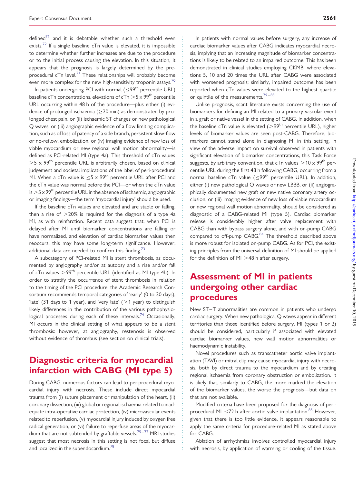defined $71$  and it is debatable whether such a threshold even exists.<sup>[72](#page-15-0)</sup> If a single baseline cTn value is elevated, it is impossible to determine whether further increases are due to the procedure or to the initial process causing the elevation. In this situation, it appears that the prognosis is largely determined by the preprocedural cTn level.[71](#page-15-0) These relationships will probably become even more complex for the new high-sensitivity troponin assays.<sup>[70](#page-15-0)</sup>

In patients undergoing PCI with normal ( $\leq$ 99<sup>th</sup> percentile URL) baseline cTn concentrations, elevations of cTn  $>5 \times 99^{th}$  percentile URL occurring within 48 h of the procedure—plus either (i) evidence of prolonged ischaemia ( $\geq$ 20 min) as demonstrated by prolonged chest pain, or (ii) ischaemic ST changes or new pathological Q waves, or (iii) angiographic evidence of a flow limiting complication, such as of loss of patency of a side branch, persistent slow-flow or no-reflow, embolization, or (iv) imaging evidence of new loss of viable myocardium or new regional wall motion abnormality—is defined as PCI-related MI (type 4a). This threshold of cTn values  $>5 \times 99$ <sup>th</sup> percentile URL is arbitrarily chosen, based on clinical judgement and societal implications of the label of peri-procedural MI. When a cTn value is  $\leq 5 \times 99^{th}$  percentile URL after PCI and the cTn value was normal before the PCI—or when the cTn value is  $>5 \times 99^{th}$  percentile URL in the absence of ischaemic, angiographic or imaging findings—the term 'myocardial injury' should be used.

If the baseline cTn values are elevated and are stable or falling, then a rise of  $>$ 20% is required for the diagnosis of a type 4a MI, as with reinfarction. Recent data suggest that, when PCI is delayed after MI until biomarker concentrations are falling or have normalized, and elevation of cardiac biomarker values then reoccurs, this may have some long-term significance. However, additional data are needed to confirm this finding.<sup>73</sup>

A subcategory of PCI-related MI is stent thrombosis, as documented by angiography and/or at autopsy and a rise and/or fall of cTn values  $>99^{th}$  percentile URL (identified as MI type 4b). In order to stratify the occurrence of stent thrombosis in relation to the timing of the PCI procedure, the Academic Research Consortium recommends temporal categories of 'early' (0 to 30 days), 'late' (31 days to 1 year), and 'very late' ( $>$ 1 year) to distinguish likely differences in the contribution of the various pathophysio-logical processes during each of these intervals.<sup>[74](#page-15-0)</sup> Occasionally, MI occurs in the clinical setting of what appears to be a stent thrombosis: however, at angiography, restenosis is observed without evidence of thrombus (see section on clinical trials).

## Diagnostic criteria for myocardial infarction with CABG (MI type 5)

During CABG, numerous factors can lead to periprocedural myocardial injury with necrosis. These include direct myocardial trauma from (i) suture placement or manipulation of the heart, (ii) coronary dissection, (iii) global or regional ischaemia related to inadequate intra-operative cardiac protection, (iv) microvascular events related to reperfusion, (v) myocardial injury induced by oxygen free radical generation, or (vi) failure to reperfuse areas of the myocar-dium that are not subtended by graftable vessels.<sup>[75](#page-15-0)-[77](#page-15-0)</sup> MRI studies suggest that most necrosis in this setting is not focal but diffuse and localized in the subendocardium.<sup>[78](#page-15-0)</sup>

In patients with normal values before surgery, any increase of cardiac biomarker values after CABG indicates myocardial necrosis, implying that an increasing magnitude of biomarker concentrations is likely to be related to an impaired outcome. This has been demonstrated in clinical studies employing CKMB, where elevations 5, 10 and 20 times the URL after CABG were associated with worsened prognosis; similarly, impaired outcome has been reported when cTn values were elevated to the highest quartile or quintile of the measurements. $79-83$  $79-83$  $79-83$ 

Unlike prognosis, scant literature exists concerning the use of biomarkers for defining an MI related to a primary vascular event in a graft or native vessel in the setting of CABG. In addition, when the baseline cTn value is elevated ( $>99<sup>th</sup>$  percentile URL), higher levels of biomarker values are seen post-CABG. Therefore, biomarkers cannot stand alone in diagnosing MI in this setting. In view of the adverse impact on survival observed in patients with significant elevation of biomarker concentrations, this Task Force suggests, by arbitrary convention, that cTn values  $>$  10 x 99<sup>th</sup> percentile URL during the first 48 h following CABG, occurring from a normal baseline cTn value ( $\leq$ 99<sup>th</sup> percentile URL). In addition, either (i) new pathological Q waves or new LBBB, or (ii) angiographically documented new graft or new native coronary artery occlusion, or (iii) imaging evidence of new loss of viable myocardium or new regional wall motion abnormality, should be considered as diagnostic of a CABG-related MI (type 5). Cardiac biomarker release is considerably higher after valve replacement with CABG than with bypass surgery alone, and with on-pump CABG compared to off-pump CABG.<sup>[84](#page-16-0)</sup> The threshold described above is more robust for isolated on-pump CABG. As for PCI, the existing principles from the universal definition of MI should be applied for the definition of  $MI > 48$  h after surgery.

## Assessment of MI in patients undergoing other cardiac procedures

New ST–T abnormalities are common in patients who undergo cardiac surgery. When new pathological Q waves appear in different territories than those identified before surgery, MI (types 1 or 2) should be considered, particularly if associated with elevated cardiac biomarker values, new wall motion abnormalities or haemodynamic instability.

Novel procedures such as transcatheter aortic valve implantation (TAVI) or mitral clip may cause myocardial injury with necrosis, both by direct trauma to the myocardium and by creating regional ischaemia from coronary obstruction or embolization. It is likely that, similarly to CABG, the more marked the elevation of the biomarker values, the worse the prognosis—but data on that are not available.

Modified criteria have been proposed for the diagnosis of periprocedural MI  $\leq$ 72 h after aortic valve implantation.<sup>[85](#page-16-0)</sup> However, given that there is too little evidence, it appears reasonable to apply the same criteria for procedure-related MI as stated above for CABG.

Ablation of arrhythmias involves controlled myocardial injury with necrosis, by application of warming or cooling of the tissue.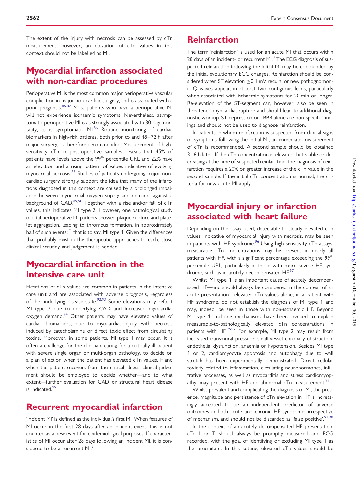The extent of the injury with necrosis can be assessed by cTn measurement: however, an elevation of cTn values in this context should not be labelled as MI.

## Myocardial infarction associated with non-cardiac procedures

Perioperative MI is the most common major perioperative vascular complication in major non-cardiac surgery, and is associated with a poor prognosis.<sup>[86](#page-16-0),[87](#page-16-0)</sup> Most patients who have a perioperative MI will not experience ischaemic symptoms. Nevertheless, asymptomatic perioperative MI is as strongly associated with 30-day mortality, as is symptomatic  $MI^{86}$  $MI^{86}$  $MI^{86}$  Routine monitoring of cardiac biomarkers in high-risk patients, both prior to and 48–72 h after major surgery, is therefore recommended. Measurement of highsensitivity cTn in post-operative samples reveals that 45% of patients have levels above the 99<sup>th</sup> percentile URL and 22% have an elevation and a rising pattern of values indicative of evolving myocardial necrosis.<sup>88</sup> Studies of patients undergoing major noncardiac surgery strongly support the idea that many of the infarctions diagnosed in this context are caused by a prolonged imbalance between myocardial oxygen supply and demand, against a background of CAD.<sup>89,90</sup> Together with a rise and/or fall of cTn values, this indicates MI type 2. However, one pathological study of fatal perioperative MI patients showed plaque rupture and platelet aggregation, leading to thrombus formation, in approximately half of such events; $91$  that is to say, MI type 1. Given the differences that probably exist in the therapeutic approaches to each, close clinical scrutiny and judgement is needed.

### Myocardial infarction in the intensive care unit

Elevations of cTn values are common in patients in the intensive care unit and are associated with adverse prognosis, regardless of the underlying disease state. $22,93$  Some elevations may reflect MI type 2 due to underlying CAD and increased myocardial oxygen demand.<sup>94</sup> Other patients may have elevated values of cardiac biomarkers, due to myocardial injury with necrosis induced by catecholamine or direct toxic effect from circulating toxins. Moreover, in some patients, MI type 1 may occur. It is often a challenge for the clinician, caring for a critically ill patient with severe single organ or multi-organ pathology, to decide on a plan of action when the patient has elevated cTn values. If and when the patient recovers from the critical illness, clinical judgement should be employed to decide whether—and to what extent—further evaluation for CAD or structural heart disease is indicated.<sup>[95](#page-16-0)</sup>

#### Recurrent myocardial infarction

'Incident MI' is defined as the individual's first MI. When features of MI occur in the first 28 days after an incident event, this is not counted as a new event for epidemiological purposes. If characteristics of MI occur after 28 days following an incident MI, it is considered to be a recurrent  $MI<sup>3</sup>$  $MI<sup>3</sup>$  $MI<sup>3</sup>$ 

#### Reinfarction

The term 'reinfarction' is used for an acute MI that occurs within 28 days of an incident- or recurrent  $MI<sup>3</sup>$  $MI<sup>3</sup>$  $MI<sup>3</sup>$  The ECG diagnosis of suspected reinfarction following the initial MI may be confounded by the initial evolutionary ECG changes. Reinfarction should be considered when ST elevation  $\geq$  0.1 mV recurs, or new pathognomonic Q waves appear, in at least two contiguous leads, particularly when associated with ischaemic symptoms for 20 min or longer. Re-elevation of the ST-segment can, however, also be seen in threatened myocardial rupture and should lead to additional diagnostic workup. ST depression or LBBB alone are non-specific findings and should not be used to diagnose reinfarction.

In patients in whom reinfarction is suspected from clinical signs or symptoms following the initial MI, an immediate measurement of cTn is recommended. A second sample should be obtained 3–6 h later. If the cTn concentration is elevated, but stable or decreasing at the time of suspected reinfarction, the diagnosis of reinfarction requires a 20% or greater increase of the cTn value in the second sample. If the initial cTn concentration is normal, the criteria for new acute MI apply.

## Myocardial injury or infarction associated with heart failure

Depending on the assay used, detectable-to-clearly elevated cTn values, indicative of myocardial injury with necrosis, may be seen in patients with HF syndrome.<sup>96</sup> Using high-sensitivity cTn assays, measurable cTn concentrations may be present in nearly all patients with HF, with a significant percentage exceeding the 99<sup>th</sup> percentile URL, particularly in those with more severe HF syn-drome, such as in acutely decompensated HF.<sup>[97](#page-16-0)</sup>

Whilst MI type 1 is an important cause of acutely decompensated HF—and should always be considered in the context of an acute presentation—elevated cTn values alone, in a patient with HF syndrome, do not establish the diagnosis of MI type 1 and may, indeed, be seen in those with non-ischaemic HF. Beyond MI type 1, multiple mechanisms have been invoked to explain measurable-to-pathologically elevated cTn concentrations in patients with HF.<sup>[96,97](#page-16-0)</sup> For example, MI type 2 may result from increased transmural pressure, small-vessel coronary obstruction, endothelial dysfunction, anaemia or hypotension. Besides MI type 1 or 2, cardiomyocyte apoptosis and autophagy due to wall stretch has been experimentally demonstrated. Direct cellular toxicity related to inflammation, circulating neurohormones, infiltrative processes, as well as myocarditis and stress cardiomyopathy, may present with HF and abnormal  $cTn$  measurement.<sup>97</sup>

Whilst prevalent and complicating the diagnosis of MI, the presence, magnitude and persistence of cTn elevation in HF is increasingly accepted to be an independent predictor of adverse outcomes in both acute and chronic HF syndrome, irrespective of mechanism, and should not be discarded as 'false positive'.<sup>[97,98](#page-16-0)</sup>

In the context of an acutely decompensated HF presentation, cTn I or T should always be promptly measured and ECG recorded, with the goal of identifying or excluding MI type 1 as the precipitant. In this setting, elevated cTn values should be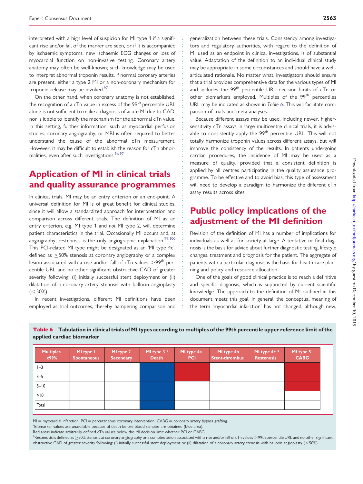interpreted with a high level of suspicion for MI type 1 if a significant rise and/or fall of the marker are seen, or if it is accompanied by ischaemic symptoms, new ischaemic ECG changes or loss of myocardial function on non-invasive testing. Coronary artery anatomy may often be well-known; such knowledge may be used to interpret abnormal troponin results. If normal coronary arteries are present, either a type 2 MI or a non-coronary mechanism for troponin release may be invoked.<sup>97</sup>

On the other hand, when coronary anatomy is not established, the recognition of a cTn value in excess of the 99<sup>th</sup> percentile URL alone is not sufficient to make a diagnosis of acute MI due to CAD, nor is it able to identify the mechanism for the abnormal cTn value. In this setting, further information, such as myocardial perfusion studies, coronary angiography, or MRI is often required to better understand the cause of the abnormal cTn measurement. However, it may be difficult to establish the reason for cTn abnor-malities, even after such investigations.<sup>[96,97](#page-16-0)</sup>

## Application of MI in clinical trials and quality assurance programmes

In clinical trials, MI may be an entry criterion or an end-point. A universal definition for MI is of great benefit for clinical studies, since it will allow a standardized approach for interpretation and comparison across different trials. The definition of MI as an entry criterion, e.g. MI type 1 and not MI type 2, will determine patient characteristics in the trial. Occasionally MI occurs and, at angiography, restenosis is the only angiographic explanation.<sup>[99](#page-16-0),[100](#page-16-0)</sup> This PCI-related MI type might be designated as an 'MI type 4c', defined as ≥50% stenosis at coronary angiography or a complex lesion associated with a rise and/or fall of cTn values  $> 99<sup>th</sup>$  percentile URL and no other significant obstructive CAD of greater severity following: (i) initially successful stent deployment or (ii) dilatation of a coronary artery stenosis with balloon angioplasty  $(<50\%)$ .

In recent investigations, different MI definitions have been employed as trial outcomes, thereby hampering comparison and generalization between these trials. Consistency among investigators and regulatory authorities, with regard to the definition of MI used as an endpoint in clinical investigations, is of substantial value. Adaptation of the definition to an individual clinical study may be appropriate in some circumstances and should have a wellarticulated rationale. No matter what, investigators should ensure that a trial provides comprehensive data for the various types of MI and includes the 99<sup>th</sup> percentile URL decision limits of cTn or other biomarkers employed. Multiples of the 99<sup>th</sup> percentiles URL may be indicated as shown in Table 6. This will facilitate comparison of trials and meta-analyses.

Because different assays may be used, including newer, highersensitivity cTn assays in large multicentre clinical trials, it is advisable to consistently apply the 99<sup>th</sup> percentile URL. This will not totally harmonize troponin values across different assays, but will improve the consistency of the results. In patients undergoing cardiac procedures, the incidence of MI may be used as a measure of quality, provided that a consistent definition is applied by all centres participating in the quality assurance programme. To be effective and to avoid bias, this type of assessment will need to develop a paradigm to harmonize the different cTn assay results across sites.

## Public policy implications of the adjustment of the MI definition

Revision of the definition of MI has a number of implications for individuals as well as for society at large. A tentati nosis is the basis for advice about further diagnostic changes, treatment and prognosis for the patient. The patients with a particular diagnosis is the basis for health ning and policy and resource allocation.

One of the goals of good clinical practice is to r and specific diagnosis, which is supported by c knowledge. The approach to the definition of MI document meets this goal. In general, the concep the term 'myocardial infarction' has not changed

| ve or final diag-  |
|--------------------|
| testing, lifestyle |
| The aggregate of   |
| ealth care plan-   |
|                    |
| each a definitive  |
| urrent scientific  |
| outlined in this   |
| tual meaning of    |
| , although new,    |
|                    |
|                    |
| e limit of the     |
|                    |
|                    |

| <b>Multiples</b><br>x99% | MI type I<br><b>Spontaneous</b> | MI type 2<br><b>Secondary</b> | MI type 3 <sup>a</sup><br><b>Death</b> | MI type 4a<br><b>PCI</b> | MI type 4b<br><b>Stent-thrombus</b> | MI type $4cb$<br><b>Restenosis</b> | MI type 5<br><b>CABG</b> |
|--------------------------|---------------------------------|-------------------------------|----------------------------------------|--------------------------|-------------------------------------|------------------------------------|--------------------------|
| $I - 3$                  |                                 |                               |                                        |                          |                                     |                                    |                          |
| $3 - 5$                  |                                 |                               |                                        |                          |                                     |                                    |                          |
| $5 - 10$                 |                                 |                               |                                        |                          |                                     |                                    |                          |
| >10                      |                                 |                               |                                        |                          |                                     |                                    |                          |
| Total                    |                                 |                               |                                        |                          |                                     |                                    |                          |

Table 6 Tabulation in clinical trials of MI types according to multiples of the 99th percentile upper referenc applied cardiac biomarker

 $MI =$  myocardial infarction; PCI = percutaneous coronary intervention; CABG = coronary artery bypass grafting.

<sup>a</sup>Biomarker values are unavailable because of death before blood samples are obtained (blue area).

Red areas indicate arbitrarily defined cTn values below the MI decision limit whether PCI or CABG.

 $^{\rm b}$ Restenosis is defined as  $\geq$ 50% stenosis at coronary angiography or a complex lesion associated with a rise and/or fall of cTn values  $>$ 99th percentile URL and no other significant obstructive CAD of greater severity following: (i) initially successful stent deployment or (ii) dilatation of a coronary artery stenosis with balloon angioplasty (<50%).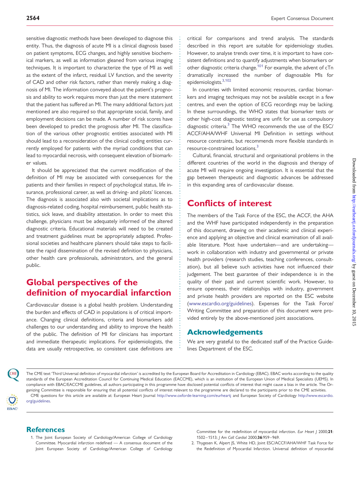<span id="page-13-0"></span>sensitive diagnostic methods have been developed to diagnose this entity. Thus, the diagnosis of acute MI is a clinical diagnosis based on patient symptoms, ECG changes, and highly sensitive biochemical markers, as well as information gleaned from various imaging techniques. It is important to characterize the type of MI as well as the extent of the infarct, residual LV function, and the severity of CAD and other risk factors, rather than merely making a diagnosis of MI. The information conveyed about the patient's prognosis and ability to work requires more than just the mere statement that the patient has suffered an MI. The many additional factors just mentioned are also required so that appropriate social, family, and employment decisions can be made. A number of risk scores have been developed to predict the prognosis after MI. The classification of the various other prognostic entities associated with MI should lead to a reconsideration of the clinical coding entities currently employed for patients with the myriad conditions that can lead to myocardial necrosis, with consequent elevation of biomarker values.

It should be appreciated that the current modification of the definition of MI may be associated with consequences for the patients and their families in respect of psychological status, life insurance, professional career, as well as driving- and pilots' licences. The diagnosis is associated also with societal implications as to diagnosis-related coding, hospital reimbursement, public health statistics, sick leave, and disability attestation. In order to meet this challenge, physicians must be adequately informed of the altered diagnostic criteria. Educational materials will need to be created and treatment guidelines must be appropriately adapted. Professional societies and healthcare planners should take steps to facilitate the rapid dissemination of the revised definition to physicians, other health care professionals, administrators, and the general public.

## Global perspectives of the definition of myocardial infarction

Cardiovascular disease is a global health problem. Understanding the burden and effects of CAD in populations is of critical importance. Changing clinical definitions, criteria and biomarkers add challenges to our understanding and ability to improve the health of the public. The definition of MI for clinicians has important and immediate therapeutic implications. For epidemiologists, the data are usually retrospective, so consistent case definitions are critical for comparisons and trend analysis. The standards described in this report are suitable for epidemiology studies. However, to analyse trends over time, it is important to have consistent definitions and to quantify adjustments when biomarkers or other diagnostic criteria change.<sup>101</sup> For example, the advent of cTn dramatically increased the number of diagnosable MIs for epidemiologists.[3](#page-14-0)[,102](#page-16-0)

In countries with limited economic resources, cardiac biomarkers and imaging techniques may not be available except in a few centres, and even the option of ECG recordings may be lacking. In these surroundings, the WHO states that biomarker tests or other high-cost diagnostic testing are unfit for use as compulsory diagnostic criteria. $3$  The WHO recommends the use of the ESC/ ACCF/AHA/WHF Universal MI Definition in settings without resource constraints, but recommends more flexible standards in resource-constrained locations.<sup>[3](#page-14-0)</sup>

Cultural, financial, structural and organisational problems in the different countries of the world in the diagnosis and therapy of acute MI will require ongoing investigation. It is essential that the gap between therapeutic and diagnostic advances be addressed in this expanding area of cardiovascular disease.

### Conflicts of interest

The members of the Task Force of the ESC, the ACCF, the AHA and the WHF have participated independently in the preparation of this document, drawing on their academic and clinical experience and applying an objective and clinical examination of all available literature. Most have undertaken—and are undertaking work in collaboration with industry and governmental or private health providers (research studies, teaching conferences, consultation), but all believe such activities have not influenced their judgement. The best guarantee of their independence is in the quality of their past and current scientific work. However, to ensure openness, their relationships with industry, government and private health providers are reported on the ESC website [\(www.escardio.org/guidelines](www.escardio.org/guidelines)). Expenses for the Task Force/ Writing Committee and preparation of this document were provided entirely by the above-mentioned joint associations.

#### Acknowledgements

We are very grateful to the dedicated staff of the Practice Guidelines Department of the ESC.



The CME text 'Third Universal definition of myocardial infarction' is accredited by the European Board for Accreditation in Cardiology (EBAC). EBAC works according to the quality standards of the European Accreditation Council for Continuing Medical Education (EACCME), which is an institution of the European Union of Medical Specialists (UEMS). In compliance with EBAC/EACCME guidelines, all authors participating in this programme have disclosed potential conflicts of interest that might cause a bias in the article. The Organizing Committee is responsible for ensuring that all potential conflicts of interest relevant to the programme are declared to the participants prior to the CME activities. CME questions for this article are available at: European Heart Journal <http://www.oxforde-learning.com/eurheartj> and European Society of Cardiology [http://www.escardio.](http://www.escardio.org/guidelines) [org/guidelines](http://www.escardio.org/guidelines).

#### **References**

1. The Joint European Society of Cardiology/American College of Cardiology Committee. Myocardial infarction redefined — A consensus document of the Joint European Society of Cardiology/American College of Cardiology Committee for the redefinition of myocardial infarction. Eur Heart J 2000;21: 1502-1513; J Am Coll Cardiol 2000;36:959-969.

2. Thygesen K, Alpert JS, White HD, Joint ESC/ACCF/AHA/WHF Task Force for the Redefinition of Myocardial Infarction. Universal definition of myocardial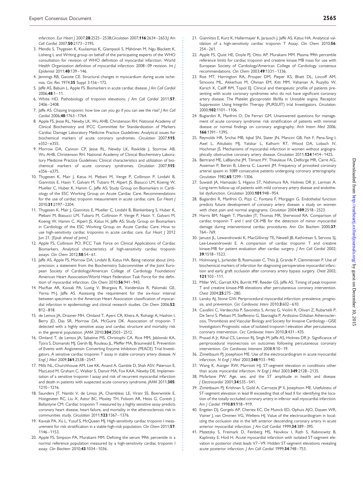<span id="page-14-0"></span>infarction. Eur Heart | 2007;28:2525-2538;Circulation 2007;116:2634-2653; Am Coll Cardiol 2007;50:2173–2195.

- 3. Mendis S, Thygesen K, Kuulasmaa K, Giampaoli S, Mähönen M, Ngu Blackett K, Lisheng L and Writing group on behalf of the participating experts of the WHO consultation for revision of WHO definition of myocardial infarction. World Health Organization definition of myocardial infarction: 2008–09 revision. Int J Epidemiol 2011;40:139–146.
- 4. Jennings RB, Ganote CE. Structural changes in myocardium during acute ischemia. Circ Res 1974;35 Suppl 3:156–172.
- 5. Jaffe AS, Babuin L, Apple FS. Biomarkers in acute cardiac disease. J Am Coll Cardiol 2006;48:1–11.
- 6. White HD. Pathobiology of troponin elevations. J Am Coll Cardiol 2011;57: 2406–2408.
- 7. Jaffe AS. Chasing troponin: how low can you go if you can see the rise? J Am Coll Cardiol 2006;48:1763–1764.
- 8. Apple FS, Jesse RL, Newby LK, Wu AHB, Christenson RH. National Academy of Clinical Biochemistry and IFCC Committee for Standardization of Markers Cardiac Damage Laboratory Medicine Practice Guidelines: Analytical issues for biochemical markers of acute coronary syndromes. Circulation 2007;115: e352–e355.
- 9. Morrow DA, Cannon CP, Jesse RL, Newby LK, Ravkilde J, Storrow AB, Wu AHB, Christenson RH. National Academy of Clinical Biochemistry Laboratory Medicine Practice Guidelines: Clinical characteristics and utilization of biochemical markers of acute coronary syndromes. Circulation 2007;115: e356–e375.
- 10. Thygesen K, Mair J, Katus H, Plebani M, Venge P, Collinson P, Lindahl B, Giannitsis E, Hasin Y, Galvani M, Tubaro M, Alpert JS, Biasucci LM, Koenig W, Mueller C, Huber K, Hamm C, Jaffe AS; Study Group on Biomarkers in Cardiology of the ESC Working Group on Acute Cardiac Care. Recommendations for the use of cardiac troponin measurement in acute cardiac care. Eur Heart J 2010;31:2197–2204.
- 11. Thygesen K, Mair J, Giannitsis E, Mueller C, Lindahl B, Blankenberg S, Huber K, Plebani M, Biasucci LM, Tubaro M, Collinson P, Venge P, Hasin Y, Galvani M, Koenig W, Hamm C, Alpert JS, Katus H, Jaffe AS; Study Group on Biomarkers in Cardiology of the ESC Working Group on Acute Cardiac Care. How to use high-sensitivity cardiac troponins in acute cardiac care. Eur Heart J 2012 Jun 21. [Epub ahead of print.]
- 12. Apple FS, Collinson PO; IFCC Task Force on Clinical Applications of Cardiac Biomarkers. Analytical characteristics of high-sensitivity cardiac troponin assays. Clin Chem 2012;58:54–61.
- 13. Jaffe AS, Apple FS, Morrow DA, Lindahl B, Katus HA. Being rational about (im) precision: a statement from the Biochemistry Subcommittee of the Joint European Society of Cardiology/American College of Cardiology Foundation/ American Heart Association/World Heart Federation Task Force for the definition of myocardial infarction. Clin Chem 2010;56:941–943.
- 14. MacRae AR, Kavsak PA, Lustig V, Bhargava R, Vandersluis R, Palomaki GE, Yerna M-J, Jaffe AS. Assessing the requirement for the six-hour interval between specimens in the American Heart Association classification of myocardial infarction in epidemiology and clinical research studies. Clin Chem 2006;52: 812–818.
- 15. de Lemos JA, Drazner MH, Omland T, Ayers CR, Khera A, Rohatgi A, Hashim I, Berry JD, Das SR, Morrow DA, McGuire DK. Association of troponin T detected with a highly sensitive assay and cardiac structure and mortality risk in the general population. JAMA 2010;304:2503-2512.
- 16. Omland T, de Lemos JA, Sabatine MS, Christophi CA, Rice MM, Jablonski KA, Tjora S, Domanski MJ, Gersh BJ, Rouleau JL, Pfeffer MA, Braunwald E. Prevention of Events with Angiotensin Converting Enzyme Inhibition (PEACE) Trial Investigators. A sensitive cardiac troponin T assay in stable coronary artery disease. N Engl | Med 2009;361:2538-2547.
- 17. Mills NL, Churchhouse AM, Lee KK, Anand A, Gamble D, Shah ASV, Paterson E, MacLeod M, Graham C, Walker S, Denvir MA, Fox KAA, Newby DE. Implementation of a sensitive troponin I assay and risk of recurrent myocardial infarction and death in patients with suspected acute conorary syndrome. JAMA 2011;305: 1210–1216.
- 18. Saunders JT, Nambi V, de Limos JA, Chambless LE, Virani SS, Boerwinkle E, Hoogeveen RC, Liu X, Astor BC, Mosley TH, Folsom AR, Heiss G, Coresh J, Ballantyne CM. Cardiac troponin T measured by a highly sensitive assay predicts coronary heart disease, heart failure, and mortality in the atherosclerosis risk in communities study. Circulation 2011;123:1367–1376.
- 19. Kavsak PA, Xu L, Yusuf S, McQueen MJ. High-sensitivity cardiac troponin I measurement for risk stratification in a stable high-risk population. Clin Chem 2011;57: 1146–1153.
- 20. Apple FS, Simpson PA, Murakami MM. Defining the serum 99th percentile in a normal reference population measured by a high-sensitivity cardiac troponin I assay. Clin Biochem 2010;43:1034–1036.
- 21. Giannitsis E, Kurz K, Hallermayer K, Jarausch J, Jaffe AS, Katus HA. Analytical validation of a high-sensitivity cardiac troponin T Assay. Clin Chem 2010;56: 254–261.
- 22. Apple FS, Quist HE, Doyle PJ, Otto AP, Murakami MM. Plasma 99th percentile reference limits for cardiac troponin and creatine kinase MB mass for use with European Society of Cardiology/American College of Cardiology consensus recommendations. Clin Chem 2003;49:1331–1336.
- 23. Roe MT, Harrington RA, Prosper DM, Pieper KS, Bhatt DL, Lincoff AM, Simoons ML, Akkerhuis M, Ohman EM, Kitt MM, Vahanian A, Ruzyllo W, Karsch K, Califf RM, Topol EJ. Clinical and therapeutic profile of patients presenting with acute coronary syndromes who do not have significant coronary artery disease. The Platelet glycoprotein IIb/IIIa in Unstable angina: Receptor Suppression Using Integrilin Therapy (PURSUIT) trial Investigators. Circulation. 2000;102:1101–1106.
- 24. Bugiardini R, Manfrini O, De Ferrari GM. Unanswered questions for management of acute coronary syndrome: risk stratification of patients with minimal disease or normal findings on coronary angiography. Arch Intern Med 2006; 166:1391–1395.
- 25. Reynolds HR, Srichai MB, Iqbal SN, Slater JN, Mancini GB, Feit F, Pena-Sing I, Axel L, Attubato MJ, Yatskar L, Kalhorn RT, Wood DA, Lobach IV, Hochman JS. Mechanisms of myocardial infarction in women without angiographically obstructive coronary artery disease. Circulation 2011;124:1414-1425.
- 26. Bertrand ME, LaBlanche JM, Tilmant PY, Thieuleux FA, Delforge MR, Carre AG, Asseman P, Berzin B, Libersa C, Laurent JM. Frequency of provoked coronary arterial spasm in 1089 consecutive patients undergoing coronary arteriography. Circulation 1982;65:1299–1306.
- 27. Suwaidi JA, Hamasaki S, Higano ST, Nishimura RA, Holmes DR Jr, Lerman A. Long-term follow-up of patients with mild coronary artery disease and endothelial dysfunction. Circulation 2000;101:948-954.
- 28. Bugiardini R, Manfrini O, Pizzi C, Fontana F, Morgagni G. Endothelial function predicts future development of coronary artery disease: a study on women with chest pain and normal angiograms. Circulation 2004;109:2518-2523.
- 29. Harris BM, Nageh T, Marsden JT, Thomas MR, Sherwood RA. Comparison of cardiac troponin T and I and CK-MB for the detection of minor myocardial damage during interventional cardiac procedures. Ann Clin Biochem 2000;37: 764–769.
- 30. Januzzi JL, Lewandrowski K, MacGillivray TE, Newell JB, Kathiresan S, Servoss SJ, Lee-Lewandrowski E. A comparison of cardiac troponin T and creatine kinase-MB for patient evaluation after cardiac surgery. J Am Coll Cardiol 2002; 39:1518–1523.
- 31. Holmvang L, Jurlander B, Rasmussen C, Thiis JJ, Grande P, Clemmensen P. Use of biochemical markers of infarction for diagnosing perioperative myocardial infarction and early graft occlusion after coronary artery bypass surgery. Chest 2002; 121:103–111.
- 32. Miller WL, Garratt KN, Burritt MF, Reeder GS, Jaffe AS. Timing of peak troponin T and creatine kinase-MB elevations after percutaneous coronary intervention. Chest 2004;25:275–280.
- 33. Lansky AJ, Stone GW. Periprocedural myocardial infarction: prevalence, prognosis, and prevention. Circ Cardiovasc Interv 2010;3:602-610.
- 34. Cavallini C, Verdecchia P, Savonitto S, Arraiz G, Violini R, Olivari Z, Rubartelli P, De Servi S, Plebani M, Steffenino G, Sbarzaglia P, Ardissino D;Italian Atherosclerosis, Thrombosis and Vascular Biology and Society for Invasive Cardiology–GISE Investigators Prognostic value of isolated troponin I elevation after percutaneous coronary intervention. Circ Cardiovasc Interv 2010;3:431–435.
- 35. Prasad A Jr, Rihal CS, Lennon RJ, Singh M, Jaffe AS, Holmes DR Jr. Significance of periprocedural myonecrosis on outcomes following percutaneous coronary intervention. Circ Cardiovasc Intervent 2008;1:10–19.
- 36. Zimetbaum PJ, Josephson ME. Use of the electrocardiogram in acute myocardial infarction. N Engl | Med 2003;348:933-940.
- 37. Wang K, Asinger RW, Marriott HJ. ST-segment elevation in conditions other than acute myocardial infarction. N Engl J Med 2003;349:2128-2135.
- 38. Mcfarlane PW. Age, sex, and the ST amplitude in health and disease. J Electrocardiol 2001;34:S35–S41.
- 39. Zimetbaum PJ, Krishnan S, Gold A, Carrozza JP II, Josephson ME. Usefulness of ST-segment elevation in lead III exceeding that of lead II for identifying the location of the totally occluded coronary artery in inferior wall myocardial infarction. Am J Cardiol 1998;81:918-919.
- 40. Engelen DJ, Gorgels AP, Cheriex EC, De Muinck ED, Ophuis AJO, Dassen WR, Vainer J, van Ommen VG, Wellens HJ. Value of the electrocardiogram in localizing the occlusion site in the left anterior descending coronary artery in acute anterior myocardial infarction. J Am Coll Cardiol 1999;34:389-395.
- 41. Matetzky S, Freimark D, Feinberg MS, Novikov I, Rath S, Rabinowitz B, Kaplinsky E, Hod H. Acute myocardial infarction with isolated ST-segment elevation in posterior chest leads V7–V9. Hidden ST-segment elevations revealing acute posterior infarction. J Am Coll Cardiol 1999;34:748-753.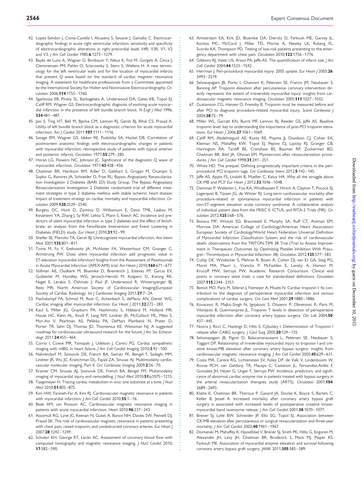- <span id="page-15-0"></span>42. Lopez-Sendon J, Coma-Canella I, Alcasena S, Seoane J, Gamallo C. Electrocardiographic findings in acute right ventricular infarction: sensitivity and specificity of electrocardiographic alterations in right precordial leads V4R, V3R, V1, V2 and V3. J Am Coll Cardiol 1985;6:1273-1279.
- 43. Bayés de Luna A, Wagner G, Birnbaum Y, Nikus K, Fiol M, Gorgels A, Cinca I, Clemmensen PM, Pahlm O, Sclarowsky S, Stern S, Wellens H. A new terminology for the left ventricular walls and for the location of myocardial infarcts that present Q wave based on the standard of cardiac magnetic resonance imaging. A statement for healthcare professionals from a Committee appointed by the International Society for Holter and Noninvasive Electrocardiography. Circulation 2006;114:1755–1760.
- 44. Sgarbossa EB, Pinsky SL, Barbagelata A, Underwood DA, Gates KB, Topol EJ, Califf RM, Wagner GS. Electrocardiographic diagnosis of evolving acute myocardial infarction in the presence of left bundle branch block. N Engl J Med 1996; 334:481–487.
- 45. Jain S, Ting HT, Bell M, Bjerke CM, Lennon RJ, Gersh BJ, Rihal CS, Prasad A. Utility of left bundle branch block as a diagnostic criterion for acute myocardial infarction. Am | Cardiol 2011;107:1111-1116.
- 46. Savage RM, Wagner GS, Ideker RE, Podolsky SA, Hackel DB. Correlation of postmortem anatomic findings with electrocardiographic changes in patients with myocardial infarction: retrospective study of patients with typical anterior and posterior infarcts. Circulation 1977;55:279-285.
- 47. Horan LG, Flowers NC, Johnson IC, Significance of the diagnostic O wave of myocardial infarction. Circulation 1971;43:428–436.
- 48. Chaitman BR, Hardison RM, Adler D, Gebhart S, Grogan M, Ocampo S, Sopko G, Ramires JA, Schneider D, Frye RL; Bypass Angioplasty Revascularization Investigation 2 Diabetes (BARI 2D) Study Group. The Bypass Angioplasty Revascularization Investigation 2 Diabetes randomized trial of different treatment strategies in type 2 diabetes mellitus with stable ischemic heart disease: Impact of treatment strategy on cardiac mortality and myocardial infarction. Circulation 2009;120:2529–2540.
- 49. Burgess DC, Hunt D, Zannino D, Williamson E, Davis TME, Laakso M, Kesäniemi YA, Zhang J, Sy RW, Lehto S, Mann S, Keech AC. Incidence and predictors of silent myocardial infarction in type 2 diabetes and the effect of fenofibrate: an analysis from the Fenofibrate Intervention and Event Lowering in Diabetes (FIELD) study. Eur Heart J 2010;31:92-99.
- 50. Sheifer SE, Manolio TA, Gersh BJ. Unrecognized myocardial infarction. Ann Intern Med 2001;135:801–811.
- 51. Toma M, Fu Y, Ezekowitz JA, McAlister FA, Westerhout CM, Granger C, Armstrong PW. Does silent myocardial infarction add prognostic value in ST-elevation myocardial infarction? Insights from the Assessment of Pexelizumab in Acute Myocardial Infarction (APEX-AMI) trial. Am Heart J 2010;160:671-677.
- 52. Stillman AE, Oudkerk M, Bluemke D, Bremerich J, Esteves FP, Garcia EV, Gutberlet M, Hundley WG, Jerosch-Herold M, Kuijpers D, Kwong RK, Nagel E, Lerakis S, Oshinski J, Paul JF, Underwood R, Wintersperger BJ, Rees MR; North American Society of Cardiovascular Imaging;European Society of Cardiac Radiology. Int J Cardiovasc Imaging 2011;27:7-24.
- 53. Flachskampf FA, Schmid M, Rost C, Achenbach S, deMaria AN, Daniel WG. Cardiac imaging after myocardial infarction. Eur Heart | 2011;32:272-283.
- 54. Kaul S, Miller JG, Grayburn PA, Hashimoto S, Hibberd M, Holland MR, Houle HC, Klein AL, Knoll P, Lang RM, Lindner JR, McCulloch ML, Metz S, Mor-Avi V, Pearlman AS, Pellikka PA, DeMars Plambeck N, Prater D, Porter TR, Sahn DJ, Thomas JD, Thomenius KE, Weissman NJ. A suggested roadmap for cardiovascular ultrasound research for the future. J Am Soc Echocardiogr 2011:24:455-464.
- 55. Carrio I, Cowie MR, Yamazaki J, Udelson J, Camici PG. Cardiac sympathetic imaging with mIBG in heart failure. J Am Coll Cardiol Imaging 2010;3:92-100.
- 56. Nahrendorf M, Sosnovik DE, French BA, Swirski FK, Bengel F, Sadeghi MM, Lindner JR, Wu JC, Kraitchman DL, Fayad ZA, Sinusas AJ. Multimodality cardiovascular molecular imaging, Part II. Circ Cardiovasc Imaging 2009;2:56–70.
- 57. Kramer CM, Sinusas AJ, Sosnovik DE, French BA, Bengel FM. Multimodality imaging of myocardial injury and remodelling. J Nucl Med 2010;51:p107S-121S.
- 58. Taegtmeyer H. Tracing cardiac metabolism in vivo: one substrate at a time. J Nucl Med 2010;51:80S–87S.
- 59. Kim HW, Faraneh-Far A, Kim RJ. Cardiovascular magnetic resonance in patients with myocardial infarction. J Am Coll Cardiol 2010;55:1-16.
- 60. Beek AM, van Rossum AC. Cardiovascular magnetic resonance imaging in patients with acute myocardial infarction. Heart 2010;96:237–243.
- 61. Assomull RG, Lyne JC, Keenan N, Gulati A, Bunce NH, Davies SW, Pennell DJ, Prasad SK. The role of cardiovascular magnetic resonance in patients presenting with chest pain, raised troponin, and unobstructed coronary arteries. Eur Heart J 2007;28:1242–1249.
- 62. Schuleri KH, George RT, Lardo AC. Assessment of coronary blood flow with computed tomography and magnetic resonance imaging. J Nucl Cardiol 2010; 17:582–590.
- 63. Amsterdam EA, Kirk JD, Bluemke DA, Diercks D, Farkouh ME, Garvey JL, Kontos MC, McCord J, Miller TD, Morise A, Newby LK, Ruberg FL, Scordo KA, Thompson PD. Testing of low-risk patients presenting to the emergency department with chest pain. Circulation 2010;122:1756–1776.
- 64. Gibbons RJ, Valeti US, Araoz PA, Jaffe AS. The quantification of infarct size. J Am Coll Cardiol 2004;44:1533–1542.
- 65. Herrman J. Peri-procedural myocardial injury: 2005 update. Eur Heart J 2005;26: 2493–2519.
- 66. Selvanayagam JB, Porto I, Channon K, Petersen SE, Francis JM, Neubauer S, Banning AP. Troponin elevation after percutaneous coronary intervention directly represents the extent of irreversible myocardial injury: insights from cardiovascular magnetic resonance imaging. Circulation 2005;111:1027–1032.
- 67. Gustavsson CG, Hansen O, Frennby B. Troponin must be measured before and after PCI to diagnose procedure-related myocardial injury. Scand Cardiovasc J 2004;38:75–79.
- 68. Miller WL, Garratt KN, Burrit MF, Lennon RJ, Reeder GS, Jaffe AS. Baseline troponin level: key to understanding the importance of post-PCI troponin elevations. Eur Heart | 2006;27:1061-1069.
- 69. Califf RM, Abdelmeguid AE, Kuntz RE, Popma JJ, Davidson CJ, Cohen EA, Kleiman NS, Mahaffey KW, Topol EJ, Pepine CJ, Lipicky RJ, Granger CB, Harrington RA, Tardiff BE, Crenshaw BS, Bauman RP, Zuckerman BD, Chaitman BR, Bittl JA, Ohman EM. Myonecrosis after revascularization procedures. J Am Coll Cardiol 1998;31:241–251.
- 70. White HD. The prequel. Defining prognostically important criteria in the periprocedural PCI troponin saga. Circ Cardiovasc Interv 2012;5:142–145.
- 71. Jaffe AS, Apple FS, Lindahl B, Mueller C, Katus HA. Why all the struggle about CK-MB and PCI? Eur Heart J 2012;33:1046-1048.
- 72. Damman P, Wallentin L, Fox KA, Windhausen F, Hirsch A, Clayton T, Pocock SJ, Lagerqvist B, Tijssen JG, de Winter RJ. Long-term cardiovascular mortality after procedure-related or spontaneous myocardial infarction in patients with non-ST-segment elevation acute coronary syndrome: A collaborative analysis of individual patient data from the FRISC II, ICTUS, and RITA-3 Trials (FIR). Circulation 2012;125:568–576.
- 73. Bonaca MP, Wiviott SD, Braunwald E, Murphy SA, Ruff CT, Antman EM, Morrow DA. American College of Cardiology/American Heart Association/ European Society of Cardiology/World Heart Federation Universal Definition of Myocardial Infarction Classification System and the risk of cardiovascular death: observations from the TRITON-TIMI 38 Trial (Trial to Assess Improvement in Therapeutic Outcomes by Optimizing Platelet Inhibition With Prasugrel–Thrombolysis in Myocardial Infarction 38) Circulation 2012;125:577–583.
- 74. Cutlip DE, Windecker S, Mehran R, Boam A, Cohen DJ, van Es GA, Steg PG, Morel MA, Mauri L, Vranckx P, McFadden E, Lansky A, Hamon M, Krucoff MW, Serruys PW; Academic Research Consortium. Clinical end points in coronary stent trials: a case for standardized definitions. Circulation 2007;115:2344–2351.
- 75. Benoit MO, Paris M, Silleran J, Fiemeyer A, Moatti N. Cardiac troponin I: Its contribution to the diagnosis of perioperative myocardial infarction and various complications of cardiac surgery. Crit Care Med 2001;29:1880–1886.
- 76. Kovacevic R, Majkic-Singh N, Ignjatovic S, Otasevic P, Obrenovic R, Paris M, Vilotijevic B, Guermonprez JL. Troponin T levels in detection of perioperative myocardial infarction after coronary artery bypass surgery. Clin Lab 2004;50: 437–445.
- 77. Noora J, Ricci C, Hastings D, Hills S, Cybulsky I. Determination of Troponin I release after CABG surgery. J Card Surg 2005;20:129-135.
- 78. Selvanayagam JB, Pigott D, Balacumaraswami L, Petersen SE, Neubauer S, Taggart DP. Relationship of irreversible myocardial injury to troponin I and creatine kinase-MB elevation after coronary artery bypass surgery: insights from cardiovascular magnetic resonance imaging. J Am Coll Cardiol 2005;45:629-631.
- 79. Costa MA, Carere RG, Lichtenstein SV, Foley DP, de Valk V, Lindenboom W, Roose PCH, van Geldorp TR, Macaya C, Castanon JL, Fernandez-Avilèz F, Gonzáles JH, Heyer G, Unger F, Serruys PW. Incidence, predictors, and significance of abnormal cardiac enzyme rise in patients treated with bypass surgery in the arterial revascularization therapies study (ARTS). Circulation 2001;104: 2689–2693.
- 80. Klatte K, Chaitman BR, Theroux P, Gavard JA, Stocke K, Boyce S, Bartels C, Keller B, Jessel A. Increased mortality after coronary artery bypass graft surgery is associated with increased levels of postoperative creatine kinasemyocardial band isoenzyme release. J Am Coll Cardiol 2001;38:1070–1077.
- 81. Brener SJ, Lytle BW, Schneider JP, Ellis SG, Topol EJ. Association between CK-MB elevation after percutaneous or surgical revascularization and three-year mortality. J Am Coll Cardiol 2002;40:1961–1967.
- 82. Domanski M, Mahaffey K, Hasselblad V, Brener SJ, Smith PK, Hillis G, Engoren M, Alexander IH, Levy IH, Chaitman BR, Broderick S, Mack MI, Pieper KS, Farkouh ME. Association of myocardial enzyme elevation and survival following coronary artery bypass graft surgery. JAMA 2011;305:585–589.